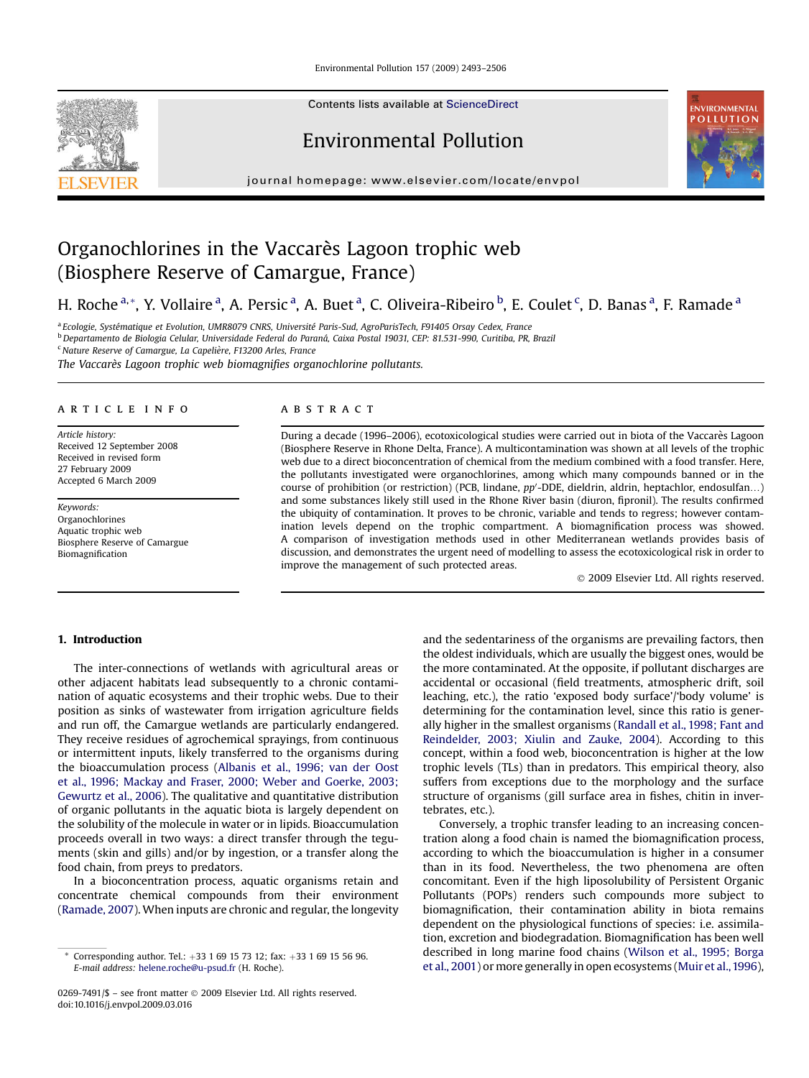Environmental Pollution 157 (2009) 2493–2506



Contents lists available at [ScienceDirect](www.sciencedirect.com/science/journal/02697491)

# Environmental Pollution



journal homepage: [www.elsevier.com/locate/envpol](http://www.elsevier.com/locate/envpol)

# Organochlorines in the Vaccarès Lagoon trophic web (Biosphere Reserve of Camargue, France)

H. Roche <sup>a, \*</sup>, Y. Vollaire <sup>a</sup>, A. Persic <sup>a</sup>, A. Buet <sup>a</sup>, C. Oliveira-Ribeiro <sup>b</sup>, E. Coulet <sup>c</sup>, D. Banas <sup>a</sup>, F. Ramade <sup>a</sup>

a Ecologie, Systématique et Evolution, UMR8079 CNRS, Université Paris-Sud, AgroParisTech, F91405 Orsay Cedex, France <sup>b</sup> Departamento de Biologia Celular, Universidade Federal do Paraná, Caixa Postal 19031, CEP: 81.531-990, Curitiba, PR, Brazil  $c$  Nature Reserve of Camargue, La Capelière, F13200 Arles, France

The Vaccarès Lagoon trophic web biomagnifies organochlorine pollutants.

### article info

Article history: Received 12 September 2008 Received in revised form 27 February 2009 Accepted 6 March 2009

Keywords: Organochlorines Aquatic trophic web Biosphere Reserve of Camargue Biomagnification

## **ABSTRACT**

During a decade (1996–2006), ecotoxicological studies were carried out in biota of the Vaccarès Lagoon (Biosphere Reserve in Rhone Delta, France). A multicontamination was shown at all levels of the trophic web due to a direct bioconcentration of chemical from the medium combined with a food transfer. Here, the pollutants investigated were organochlorines, among which many compounds banned or in the course of prohibition (or restriction) (PCB, lindane, pp'-DDE, dieldrin, aldrin, heptachlor, endosulfan...) and some substances likely still used in the Rhone River basin (diuron, fipronil). The results confirmed the ubiquity of contamination. It proves to be chronic, variable and tends to regress; however contamination levels depend on the trophic compartment. A biomagnification process was showed. A comparison of investigation methods used in other Mediterranean wetlands provides basis of discussion, and demonstrates the urgent need of modelling to assess the ecotoxicological risk in order to improve the management of such protected areas.

- 2009 Elsevier Ltd. All rights reserved.

# 1. Introduction

The inter-connections of wetlands with agricultural areas or other adjacent habitats lead subsequently to a chronic contamination of aquatic ecosystems and their trophic webs. Due to their position as sinks of wastewater from irrigation agriculture fields and run off, the Camargue wetlands are particularly endangered. They receive residues of agrochemical sprayings, from continuous or intermittent inputs, likely transferred to the organisms during the bioaccumulation process ([Albanis et al., 1996; van der Oost](#page-13-0) [et al., 1996; Mackay and Fraser, 2000; Weber and Goerke, 2003;](#page-13-0) [Gewurtz et al., 2006](#page-13-0)). The qualitative and quantitative distribution of organic pollutants in the aquatic biota is largely dependent on the solubility of the molecule in water or in lipids. Bioaccumulation proceeds overall in two ways: a direct transfer through the teguments (skin and gills) and/or by ingestion, or a transfer along the food chain, from preys to predators.

In a bioconcentration process, aquatic organisms retain and concentrate chemical compounds from their environment ([Ramade, 2007\)](#page-12-0). When inputs are chronic and regular, the longevity

0269-7491/\$ – see front matter © 2009 Elsevier Ltd. All rights reserved. doi:10.1016/j.envpol.2009.03.016

and the sedentariness of the organisms are prevailing factors, then the oldest individuals, which are usually the biggest ones, would be the more contaminated. At the opposite, if pollutant discharges are accidental or occasional (field treatments, atmospheric drift, soil leaching, etc.), the ratio 'exposed body surface'/'body volume' is determining for the contamination level, since this ratio is generally higher in the smallest organisms [\(Randall et al., 1998; Fant and](#page-12-0) [Reindelder, 2003; Xiulin and Zauke, 2004\)](#page-12-0). According to this concept, within a food web, bioconcentration is higher at the low trophic levels (TLs) than in predators. This empirical theory, also suffers from exceptions due to the morphology and the surface structure of organisms (gill surface area in fishes, chitin in invertebrates, etc.).

Conversely, a trophic transfer leading to an increasing concentration along a food chain is named the biomagnification process, according to which the bioaccumulation is higher in a consumer than in its food. Nevertheless, the two phenomena are often concomitant. Even if the high liposolubility of Persistent Organic Pollutants (POPs) renders such compounds more subject to biomagnification, their contamination ability in biota remains dependent on the physiological functions of species: i.e. assimilation, excretion and biodegradation. Biomagnification has been well described in long marine food chains ([Wilson et al., 1995; Borga](#page-13-0) [et al., 2001](#page-13-0)) or more generally in open ecosystems [\(Muir et al.,1996\)](#page-12-0),

Corresponding author. Tel.:  $+33$  1 69 15 73 12; fax:  $+33$  1 69 15 56 96. E-mail address: [helene.roche@u-psud.fr](mailto:helene.roche@u-psud.fr) (H. Roche).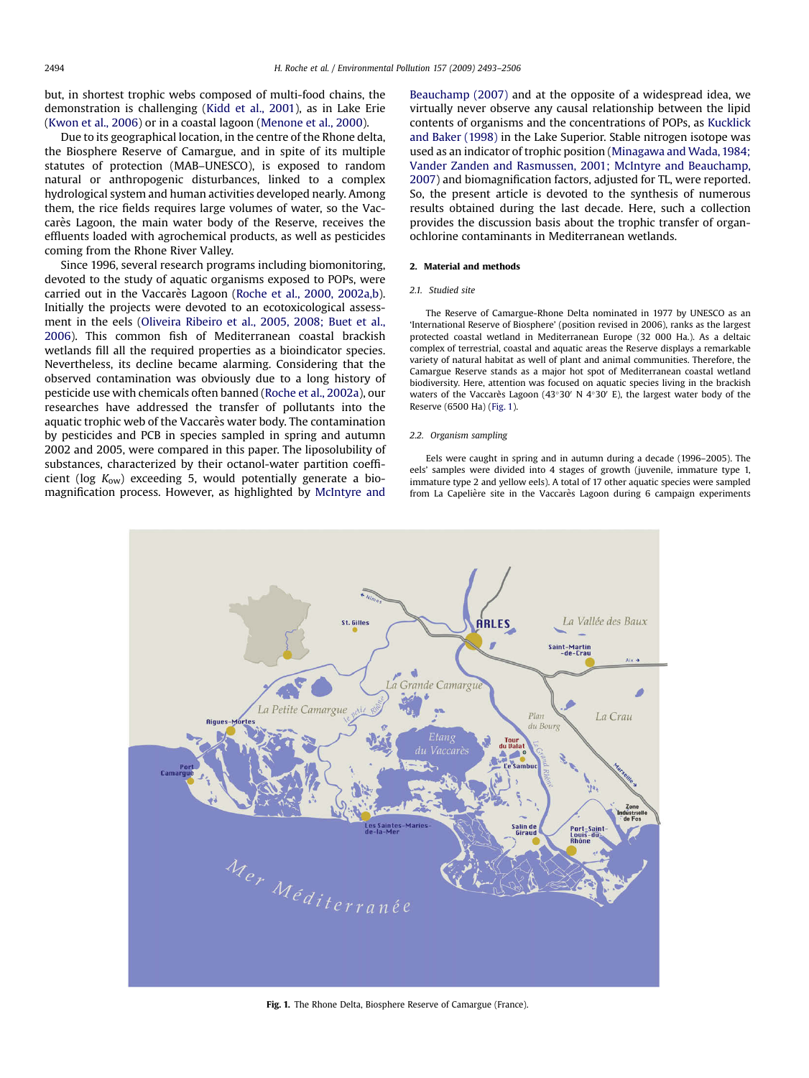but, in shortest trophic webs composed of multi-food chains, the demonstration is challenging [\(Kidd et al., 2001](#page-12-0)), as in Lake Erie ([Kwon et al., 2006\)](#page-12-0) or in a coastal lagoon [\(Menone et al., 2000](#page-12-0)).

Due to its geographical location, in the centre of the Rhone delta, the Biosphere Reserve of Camargue, and in spite of its multiple statutes of protection (MAB–UNESCO), is exposed to random natural or anthropogenic disturbances, linked to a complex hydrological system and human activities developed nearly. Among them, the rice fields requires large volumes of water, so the Vaccarès Lagoon, the main water body of the Reserve, receives the effluents loaded with agrochemical products, as well as pesticides coming from the Rhone River Valley.

Since 1996, several research programs including biomonitoring, devoted to the study of aquatic organisms exposed to POPs, were carried out in the Vaccarès Lagoon ([Roche et al., 2000, 2002a,b\)](#page-12-0). Initially the projects were devoted to an ecotoxicological assessment in the eels [\(Oliveira Ribeiro et al., 2005, 2008; Buet et al.,](#page-12-0) [2006](#page-12-0)). This common fish of Mediterranean coastal brackish wetlands fill all the required properties as a bioindicator species. Nevertheless, its decline became alarming. Considering that the observed contamination was obviously due to a long history of pesticide use with chemicals often banned [\(Roche et al., 2002a](#page-12-0)), our researches have addressed the transfer of pollutants into the aquatic trophic web of the Vaccarès water body. The contamination by pesticides and PCB in species sampled in spring and autumn 2002 and 2005, were compared in this paper. The liposolubility of substances, characterized by their octanol-water partition coefficient (log  $K_{ow}$ ) exceeding 5, would potentially generate a biomagnification process. However, as highlighted by [McIntyre and](#page-12-0) [Beauchamp \(2007\)](#page-12-0) and at the opposite of a widespread idea, we virtually never observe any causal relationship between the lipid contents of organisms and the concentrations of POPs, as [Kucklick](#page-12-0) [and Baker \(1998\)](#page-12-0) in the Lake Superior. Stable nitrogen isotope was used as an indicator of trophic position [\(Minagawa and Wada, 1984;](#page-12-0) [Vander Zanden and Rasmussen, 2001; McIntyre and Beauchamp,](#page-12-0) [2007\)](#page-12-0) and biomagnification factors, adjusted for TL, were reported. So, the present article is devoted to the synthesis of numerous results obtained during the last decade. Here, such a collection provides the discussion basis about the trophic transfer of organochlorine contaminants in Mediterranean wetlands.

#### 2. Material and methods

#### 2.1. Studied site

The Reserve of Camargue-Rhone Delta nominated in 1977 by UNESCO as an 'International Reserve of Biosphere' (position revised in 2006), ranks as the largest protected coastal wetland in Mediterranean Europe (32 000 Ha.). As a deltaic complex of terrestrial, coastal and aquatic areas the Reserve displays a remarkable variety of natural habitat as well of plant and animal communities. Therefore, the Camargue Reserve stands as a major hot spot of Mediterranean coastal wetland biodiversity. Here, attention was focused on aquatic species living in the brackish waters of the Vaccarès Lagoon (43°30' N 4°30' E), the largest water body of the Reserve (6500 Ha) (Fig. 1).

#### 2.2. Organism sampling

Eels were caught in spring and in autumn during a decade (1996–2005). The eels' samples were divided into 4 stages of growth (juvenile, immature type 1, immature type 2 and yellow eels). A total of 17 other aquatic species were sampled from La Capelière site in the Vaccarès Lagoon during 6 campaign experiments



Fig. 1. The Rhone Delta, Biosphere Reserve of Camargue (France).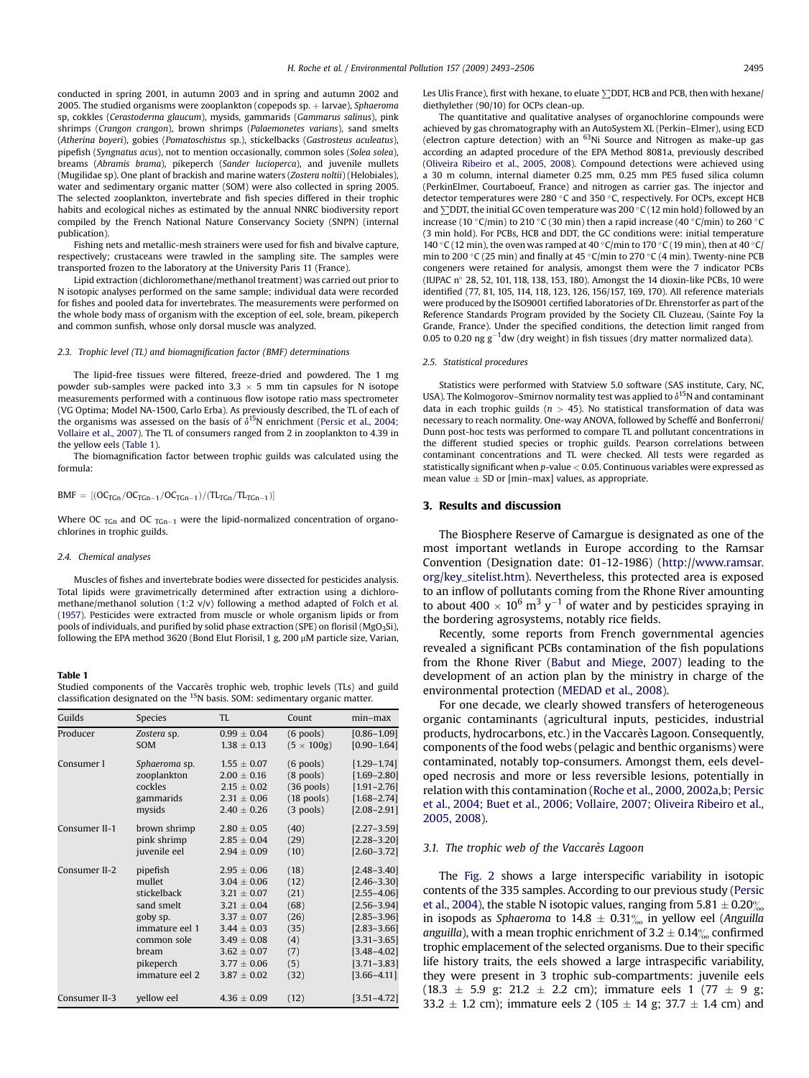conducted in spring 2001, in autumn 2003 and in spring and autumn 2002 and 2005. The studied organisms were zooplankton (copepods sp.  $+$  larvae), Sphaeroma sp, cokkles (Cerastoderma glaucum), mysids, gammarids (Gammarus salinus), pink shrimps (Crangon crangon), brown shrimps (Palaemonetes varians), sand smelts (Atherina boyeri), gobies (Pomatoschistus sp.), stickelbacks (Gastrosteus aculeatus), pipefish (Syngnatus acus), not to mention occasionally, common soles (Solea solea), breams (Abramis brama), pikeperch (Sander lucioperca), and juvenile mullets (Mugilidae sp). One plant of brackish and marine waters (Zostera noltii) (Helobiales), water and sedimentary organic matter (SOM) were also collected in spring 2005. The selected zooplankton, invertebrate and fish species differed in their trophic habits and ecological niches as estimated by the annual NNRC biodiversity report compiled by the French National Nature Conservancy Society (SNPN) (internal publication).

Fishing nets and metallic-mesh strainers were used for fish and bivalve capture, respectively; crustaceans were trawled in the sampling site. The samples were transported frozen to the laboratory at the University Paris 11 (France).

Lipid extraction (dichloromethane/methanol treatment) was carried out prior to N isotopic analyses performed on the same sample; individual data were recorded for fishes and pooled data for invertebrates. The measurements were performed on the whole body mass of organism with the exception of eel, sole, bream, pikeperch and common sunfish, whose only dorsal muscle was analyzed.

#### 2.3. Trophic level (TL) and biomagnification factor (BMF) determinations

The lipid-free tissues were filtered, freeze-dried and powdered. The 1 mg powder sub-samples were packed into  $3.3 \times 5$  mm tin capsules for N isotope measurements performed with a continuous flow isotope ratio mass spectrometer (VG Optima; Model NA-1500, Carlo Erba). As previously described, the TL of each of the organisms was assessed on the basis of  $\delta^{15}N$  enrichment [\(Persic et al., 2004;](#page-12-0) [Vollaire et al., 2007](#page-12-0)). The TL of consumers ranged from 2 in zooplankton to 4.39 in the yellow eels (Table 1).

The biomagnification factor between trophic guilds was calculated using the formula:

#### $BMF = [(OC<sub>TGn</sub>/OC<sub>TGn-1</sub>/OC<sub>TGn-1</sub>)/(TL<sub>TGn</sub>/TL<sub>TGn-1</sub>)]$

Where OC  $_{\text{TGn}}$  and OC  $_{\text{TGn-1}}$  were the lipid-normalized concentration of organochlorines in trophic guilds.

#### 2.4. Chemical analyses

Muscles of fishes and invertebrate bodies were dissected for pesticides analysis. Total lipids were gravimetrically determined after extraction using a dichloromethane/methanol solution (1:2 v/v) following a method adapted of [Folch et al.](#page-12-0) [\(1957\).](#page-12-0) Pesticides were extracted from muscle or whole organism lipids or from pools of individuals, and purified by solid phase extraction (SPE) on florisil (MgO<sub>3</sub>Si), following the EPA method 3620 (Bond Elut Florisil, 1 g, 200  $\mu$ M particle size, Varian,

#### Table 1

Studied components of the Vaccarès trophic web, trophic levels (TLs) and guild classification designated on the 15N basis. SOM: sedimentary organic matter.

| Guilds        | Species        | <b>TL</b>       | Count                | min-max         |
|---------------|----------------|-----------------|----------------------|-----------------|
| Producer      | Zostera sp.    | $0.99 \pm 0.04$ | $(6$ pools)          | $[0.86 - 1.09]$ |
|               | SOM            | $1.38 \pm 0.13$ | $(5 \times 100g)$    | $[0.90 - 1.64]$ |
| Consumer I    | Sphaeroma sp.  | $1.55 \pm 0.07$ | $(6$ pools)          | $[1.29 - 1.74]$ |
|               | zooplankton    | $2.00 \pm 0.16$ | $(8$ pools)          | $[1.69 - 2.80]$ |
|               | cockles        | $2.15 \pm 0.02$ | $(36 \text{ pools})$ | $[1.91 - 2.76]$ |
|               | gammarids      | $2.31 \pm 0.06$ | $(18 \text{ pools})$ | $[1.68 - 2.74]$ |
|               | mysids         | $2.40 \pm 0.26$ | $(3$ pools)          | $[2.08 - 2.91]$ |
| Consumer II-1 | brown shrimp   | $2.80 \pm 0.05$ | (40)                 | $[2.27 - 3.59]$ |
|               | pink shrimp    | $2.85 \pm 0.04$ | (29)                 | $[2.28 - 3.20]$ |
|               | juvenile eel   | $2.94 \pm 0.09$ | (10)                 | $[2.60 - 3.72]$ |
| Consumer II-2 | pipefish       | $2.95 \pm 0.06$ | (18)                 | $[2.48 - 3.40]$ |
|               | mullet         | $3.04 \pm 0.06$ | (12)                 | $[2.46 - 3.30]$ |
|               | stickelback    | $3.21 \pm 0.07$ | (21)                 | $[2.55 - 4.06]$ |
|               | sand smelt     | $3.21 \pm 0.04$ | (68)                 | $[2.56 - 3.94]$ |
|               | goby sp.       | $3.37 \pm 0.07$ | (26)                 | $[2.85 - 3.96]$ |
|               | immature eel 1 | $3.44 \pm 0.03$ | (35)                 | $[2.83 - 3.66]$ |
|               | common sole    | $3.49 \pm 0.08$ | (4)                  | $[3.31 - 3.65]$ |
|               | bream          | $3.62 \pm 0.07$ | (7)                  | $[3.48 - 4.02]$ |
|               | pikeperch      | $3.77 \pm 0.06$ | (5)                  | $[3.71 - 3.83]$ |
|               | immature eel 2 | $3.87 \pm 0.02$ | (32)                 | $[3.66 - 4.11]$ |
| Consumer II-3 | yellow eel     | $4.36 \pm 0.09$ | (12)                 | $[3.51 - 4.72]$ |

Les Ulis France), first with hexane, to eluate  $\Sigma$ DDT, HCB and PCB, then with hexane/ diethylether (90/10) for OCPs clean-up.

The quantitative and qualitative analyses of organochlorine compounds were achieved by gas chromatography with an AutoSystem XL (Perkin–Elmer), using ECD (electron capture detection) with an  $^{63}$ Ni Source and Nitrogen as make-up gas according an adapted procedure of the EPA Method 8081a, previously described ([Oliveira Ribeiro et al., 2005, 2008\)](#page-12-0). Compound detections were achieved using a 30 m column, internal diameter 0.25 mm, 0.25 mm PE5 fused silica column (PerkinElmer, Courtaboeuf, France) and nitrogen as carrier gas. The injector and detector temperatures were 280 °C and 350 °C, respectively. For OCPs, except HCB and  $\Sigma$ DDT, the initial GC oven temperature was 200 $^{\circ}$ C (12 min hold) followed by an increase (10  $\degree$ C/min) to 210  $\degree$ C (30 min) then a rapid increase (40  $\degree$ C/min) to 260  $\degree$ C (3 min hold). For PCBs, HCB and DDT, the GC conditions were: initial temperature 140 °C (12 min), the oven was ramped at 40 °C/min to 170 °C (19 min), then at 40 °C/ min to 200  $\degree$ C (25 min) and finally at 45  $\degree$ C/min to 270  $\degree$ C (4 min). Twenty-nine PCB congeners were retained for analysis, amongst them were the 7 indicator PCBs (IUPAC  $n^{\circ}$  28, 52, 101, 118, 138, 153, 180). Amongst the 14 dioxin-like PCBs, 10 were identified (77, 81, 105, 114, 118, 123, 126, 156/157, 169, 170). All reference materials were produced by the ISO9001 certified laboratories of Dr. Ehrenstorfer as part of the Reference Standards Program provided by the Society CIL Cluzeau, (Sainte Foy la Grande, France). Under the specified conditions, the detection limit ranged from 0.05 to 0.20 ng  $g^{-1}$ dw (dry weight) in fish tissues (dry matter normalized data).

#### 2.5. Statistical procedures

Statistics were performed with Statview 5.0 software (SAS institute, Cary, NC, USA). The Kolmogorov–Smirnov normality test was applied to  $\delta^{15}N$  and contaminant data in each trophic guilds ( $n > 45$ ). No statistical transformation of data was necessary to reach normality. One-way ANOVA, followed by Scheffé and Bonferroni/ Dunn post-hoc tests was performed to compare TL and pollutant concentrations in the different studied species or trophic guilds. Pearson correlations between contaminant concentrations and TL were checked. All tests were regarded as statistically significant when p-value < 0.05. Continuous variables were expressed as mean value  $+$  SD or [min–max] values, as appropriate.

#### 3. Results and discussion

The Biosphere Reserve of Camargue is designated as one of the most important wetlands in Europe according to the Ramsar Convention (Designation date: 01-12-1986) ([http://www.ramsar.](http://www.ramsar.org/key_sitelist.htm) [org/key\\_sitelist.htm\)](http://www.ramsar.org/key_sitelist.htm). Nevertheless, this protected area is exposed to an inflow of pollutants coming from the Rhone River amounting to about 400  $\times$  10<sup>6</sup> m<sup>3</sup> y<sup>-1</sup> of water and by pesticides spraying in the bordering agrosystems, notably rice fields.

Recently, some reports from French governmental agencies revealed a significant PCBs contamination of the fish populations from the Rhone River ([Babut and Miege, 2007\)](#page-11-0) leading to the development of an action plan by the ministry in charge of the environmental protection [\(MEDAD et al., 2008\)](#page-12-0).

For one decade, we clearly showed transfers of heterogeneous organic contaminants (agricultural inputs, pesticides, industrial products, hydrocarbons, etc.) in the Vaccarès Lagoon. Consequently, components of the food webs (pelagic and benthic organisms) were contaminated, notably top-consumers. Amongst them, eels developed necrosis and more or less reversible lesions, potentially in relation with this contamination [\(Roche et al., 2000, 2002a,b; Persic](#page-12-0) [et al., 2004; Buet et al., 2006; Vollaire, 2007; Oliveira Ribeiro et al.,](#page-12-0) [2005, 2008](#page-12-0)).

#### 3.1. The trophic web of the Vaccarès Lagoon

The [Fig. 2](#page-3-0) shows a large interspecific variability in isotopic contents of the 335 samples. According to our previous study ([Persic](#page-12-0) [et al., 2004\)](#page-12-0), the stable N isotopic values, ranging from  $5.81 \pm 0.20\%$ in isopods as Sphaeroma to  $14.8 \pm 0.31\%$  in yellow eel (Anguilla anguilla), with a mean trophic enrichment of  $3.2 \pm 0.14\%$  confirmed trophic emplacement of the selected organisms. Due to their specific life history traits, the eels showed a large intraspecific variability, they were present in 3 trophic sub-compartments: juvenile eels  $(18.3 \pm 5.9 \text{ g}; 21.2 \pm 2.2 \text{ cm})$ ; immature eels 1  $(77 \pm 9 \text{ g};$ 33.2  $\pm$  1.2 cm); immature eels 2 (105  $\pm$  14 g; 37.7  $\pm$  1.4 cm) and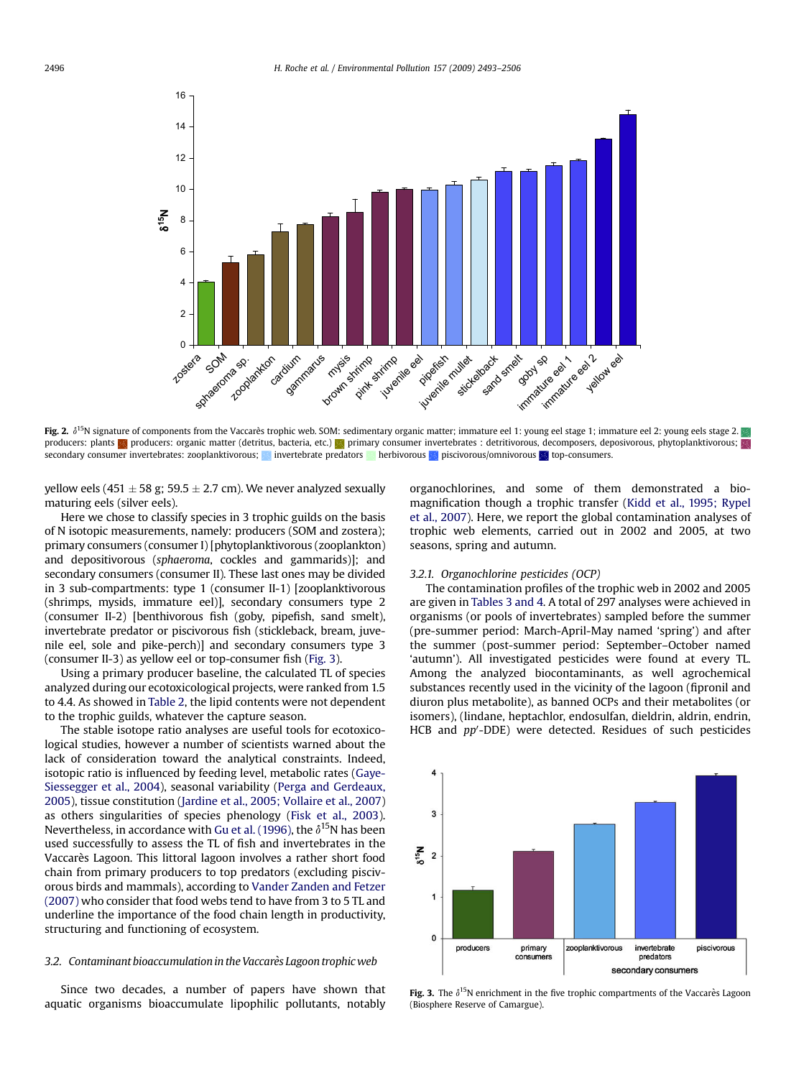<span id="page-3-0"></span>

Fig. 2.  $\delta^{15}$ N signature of components from the Vaccarès trophic web. SOM: sedimentary organic matter; immature eel 1: young eel stage 1; immature eel 2: young eels stage 2. producers: plants of producers: organic matter (detritus, bacteria, etc.) primary consumer invertebrates : detritivorous, decomposers, deposivorous, phytoplanktivorous; secondary consumer invertebrates: zooplanktivorous; invertebrate predators herbivorous signiscivorous/omnivorous top-consumers.

yellow eels (451  $\pm$  58 g; 59.5  $\pm$  2.7 cm). We never analyzed sexually maturing eels (silver eels).

Here we chose to classify species in 3 trophic guilds on the basis of N isotopic measurements, namely: producers (SOM and zostera); primary consumers (consumer I) [phytoplanktivorous (zooplankton) and depositivorous (sphaeroma, cockles and gammarids)]; and secondary consumers (consumer II). These last ones may be divided in 3 sub-compartments: type 1 (consumer II-1) [zooplanktivorous (shrimps, mysids, immature eel)], secondary consumers type 2 (consumer II-2) [benthivorous fish (goby, pipefish, sand smelt), invertebrate predator or piscivorous fish (stickleback, bream, juvenile eel, sole and pike-perch)] and secondary consumers type 3 (consumer II-3) as yellow eel or top-consumer fish (Fig. 3).

Using a primary producer baseline, the calculated TL of species analyzed during our ecotoxicological projects, were ranked from 1.5 to 4.4. As showed in [Table 2,](#page-4-0) the lipid contents were not dependent to the trophic guilds, whatever the capture season.

The stable isotope ratio analyses are useful tools for ecotoxicological studies, however a number of scientists warned about the lack of consideration toward the analytical constraints. Indeed, isotopic ratio is influenced by feeding level, metabolic rates ([Gaye-](#page-12-0)[Siessegger et al., 2004\)](#page-12-0), seasonal variability ([Perga and Gerdeaux,](#page-12-0) [2005](#page-12-0)), tissue constitution ([Jardine et al., 2005; Vollaire et al., 2007\)](#page-12-0) as others singularities of species phenology [\(Fisk et al., 2003](#page-12-0)). Nevertheless, in accordance with [Gu et al. \(1996\)](#page-12-0), the  $\delta^{15}N$  has been used successfully to assess the TL of fish and invertebrates in the Vaccarès Lagoon. This littoral lagoon involves a rather short food chain from primary producers to top predators (excluding piscivorous birds and mammals), according to [Vander Zanden and Fetzer](#page-13-0) [\(2007\)](#page-13-0) who consider that food webs tend to have from 3 to 5 TL and underline the importance of the food chain length in productivity, structuring and functioning of ecosystem.

## 3.2. Contaminant bioaccumulation in the Vaccarès Lagoon trophic web

Since two decades, a number of papers have shown that aquatic organisms bioaccumulate lipophilic pollutants, notably organochlorines, and some of them demonstrated a biomagnification though a trophic transfer ([Kidd et al., 1995; Rypel](#page-12-0) [et al., 2007\)](#page-12-0). Here, we report the global contamination analyses of trophic web elements, carried out in 2002 and 2005, at two seasons, spring and autumn.

#### 3.2.1. Organochlorine pesticides (OCP)

The contamination profiles of the trophic web in 2002 and 2005 are given in [Tables 3 and 4](#page-5-0). A total of 297 analyses were achieved in organisms (or pools of invertebrates) sampled before the summer (pre-summer period: March-April-May named 'spring') and after the summer (post-summer period: September–October named 'autumn'). All investigated pesticides were found at every TL. Among the analyzed biocontaminants, as well agrochemical substances recently used in the vicinity of the lagoon (fipronil and diuron plus metabolite), as banned OCPs and their metabolites (or isomers), (lindane, heptachlor, endosulfan, dieldrin, aldrin, endrin, HCB and pp'-DDE) were detected. Residues of such pesticides



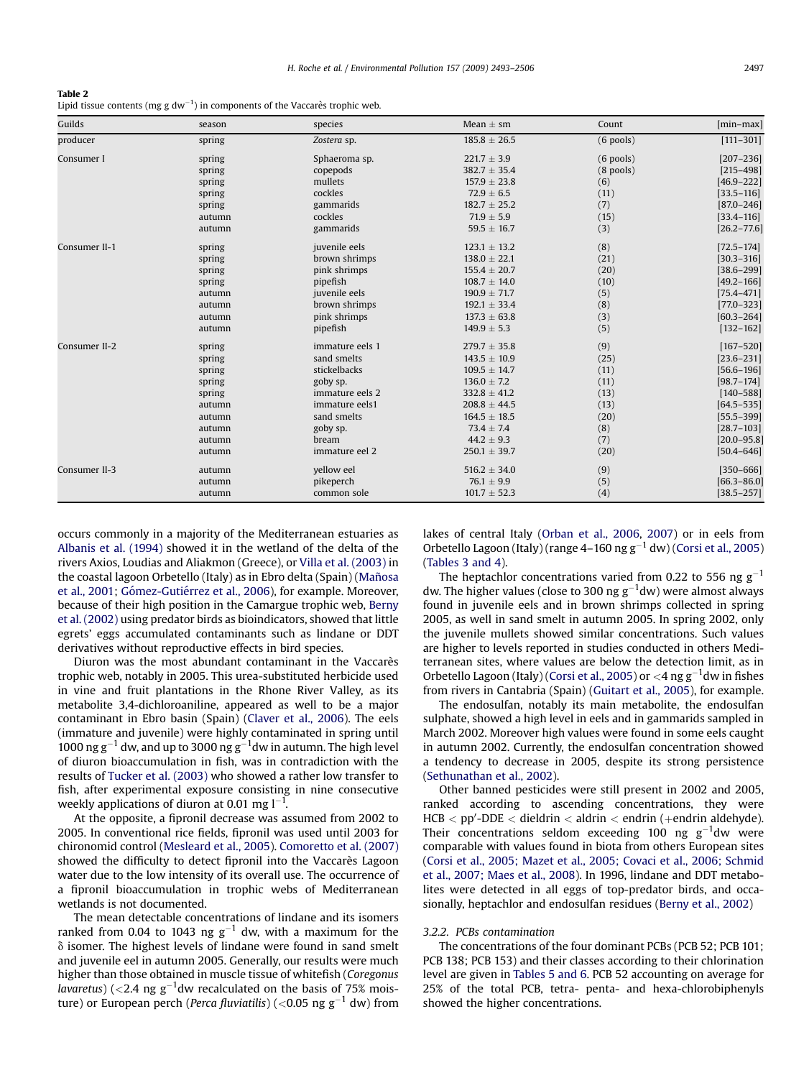<span id="page-4-0"></span>

| Table 2 |  |
|---------|--|
|         |  |

| Lipid tissue contents (mg $g$ dw <sup>-1</sup> ) in components of the Vaccares trophic web. |  |  |
|---------------------------------------------------------------------------------------------|--|--|
|---------------------------------------------------------------------------------------------|--|--|

| Guilds        | season | species         | Mean $\pm$ sm    | Count       | $[min-max]$     |
|---------------|--------|-----------------|------------------|-------------|-----------------|
| producer      | spring | Zostera sp.     | $185.8 \pm 26.5$ | $(6$ pools) | $[111 - 301]$   |
| Consumer I    | spring | Sphaeroma sp.   | $221.7 \pm 3.9$  | $(6$ pools) | $[207 - 236]$   |
|               | spring | copepods        | $382.7 \pm 35.4$ | $(8$ pools) | $[215 - 498]$   |
|               | spring | mullets         | $157.9 \pm 23.8$ | (6)         | $[46.9 - 222]$  |
|               | spring | cockles         | $72.9 \pm 6.5$   | (11)        | $[33.5 - 116]$  |
|               | spring | gammarids       | $182.7 \pm 25.2$ | (7)         | $[87.0 - 246]$  |
|               | autumn | cockles         | $71.9 \pm 5.9$   | (15)        | $[33.4 - 116]$  |
|               | autumn | gammarids       | $59.5 \pm 16.7$  | (3)         | $[26.2 - 77.6]$ |
| Consumer II-1 | spring | juvenile eels   | $123.1 \pm 13.2$ | (8)         | $[72.5 - 174]$  |
|               | spring | brown shrimps   | $138.0 \pm 22.1$ | (21)        | $[30.3 - 316]$  |
|               | spring | pink shrimps    | $155.4 \pm 20.7$ | (20)        | $[38.6 - 299]$  |
|               | spring | pipefish        | $108.7 \pm 14.0$ | (10)        | $[49.2 - 166]$  |
|               | autumn | juvenile eels   | $190.9 \pm 71.7$ | (5)         | $[75.4 - 471]$  |
|               | autumn | brown shrimps   | $192.1 \pm 33.4$ | (8)         | $[77.0 - 323]$  |
|               | autumn | pink shrimps    | $137.3 \pm 63.8$ | (3)         | $[60.3 - 264]$  |
|               | autumn | pipefish        | $149.9 \pm 5.3$  | (5)         | $[132 - 162]$   |
| Consumer II-2 | spring | immature eels 1 | $279.7 \pm 35.8$ | (9)         | $[167 - 520]$   |
|               | spring | sand smelts     | $143.5 \pm 10.9$ | (25)        | $[23.6 - 231]$  |
|               | spring | stickelbacks    | $109.5 \pm 14.7$ | (11)        | $[56.6 - 196]$  |
|               | spring | goby sp.        | $136.0 \pm 7.2$  | (11)        | $[98.7 - 174]$  |
|               | spring | immature eels 2 | $332.8 \pm 41.2$ | (13)        | $[140 - 588]$   |
|               | autumn | immature eels1  | $208.8 \pm 44.5$ | (13)        | $[64.5 - 535]$  |
|               | autumn | sand smelts     | $164.5 \pm 18.5$ | (20)        | $[55.5 - 399]$  |
|               | autumn | goby sp.        | $73.4 \pm 7.4$   | (8)         | $[28.7 - 103]$  |
|               | autumn | bream           | $44.2 \pm 9.3$   | (7)         | $[20.0 - 95.8]$ |
|               | autumn | immature eel 2  | $250.1 \pm 39.7$ | (20)        | $[50.4 - 646]$  |
| Consumer II-3 | autumn | yellow eel      | $516.2 \pm 34.0$ | (9)         | $[350 - 666]$   |
|               | autumn | pikeperch       | $76.1 \pm 9.9$   | (5)         | $[66.3 - 86.0]$ |
|               | autumn | common sole     | $101.7 \pm 52.3$ | (4)         | $[38.5 - 257]$  |

occurs commonly in a majority of the Mediterranean estuaries as [Albanis et al. \(1994\)](#page-11-0) showed it in the wetland of the delta of the rivers Axios, Loudias and Aliakmon (Greece), or [Villa et al. \(2003\)](#page-13-0) in the coastal lagoon Orbetello (Italy) as in Ebro delta (Spain) (Mañosa [et al., 2001](#page-12-0); Gómez-Gutié[rrez et al., 2006\)](#page-12-0), for example. Moreover, because of their high position in the Camargue trophic web, [Berny](#page-11-0) [et al. \(2002\)](#page-11-0) using predator birds as bioindicators, showed that little egrets' eggs accumulated contaminants such as lindane or DDT derivatives without reproductive effects in bird species.

Diuron was the most abundant contaminant in the Vaccares trophic web, notably in 2005. This urea-substituted herbicide used in vine and fruit plantations in the Rhone River Valley, as its metabolite 3,4-dichloroaniline, appeared as well to be a major contaminant in Ebro basin (Spain) [\(Claver et al., 2006](#page-11-0)). The eels (immature and juvenile) were highly contaminated in spring until 1000 ng  $g^{-1}$  dw, and up to 3000 ng  $g^{-1}$ dw in autumn. The high level of diuron bioaccumulation in fish, was in contradiction with the results of [Tucker et al. \(2003\)](#page-12-0) who showed a rather low transfer to fish, after experimental exposure consisting in nine consecutive weekly applications of diuron at 0.01 mg l $^{-1}$ .

At the opposite, a fipronil decrease was assumed from 2002 to 2005. In conventional rice fields, fipronil was used until 2003 for chironomid control ([Mesleard et al., 2005\)](#page-12-0). [Comoretto et al. \(2007\)](#page-11-0) showed the difficulty to detect fipronil into the Vaccarès Lagoon water due to the low intensity of its overall use. The occurrence of a fipronil bioaccumulation in trophic webs of Mediterranean wetlands is not documented.

The mean detectable concentrations of lindane and its isomers ranked from 0.04 to 1043 ng  $g^{-1}$  dw, with a maximum for the  $\delta$  isomer. The highest levels of lindane were found in sand smelt and juvenile eel in autumn 2005. Generally, our results were much higher than those obtained in muscle tissue of whitefish (Coregonus lavaretus) (<2.4 ng g<sup>-1</sup>dw recalculated on the basis of 75% moisture) or European perch (*Perca fluviatilis*) (<0.05 ng  $g^{-1}$  dw) from lakes of central Italy [\(Orban et al., 2006,](#page-12-0) [2007\)](#page-12-0) or in eels from Orbetello Lagoon (Italy) (range 4–160 ng  $g^{-1}$  dw) [\(Corsi et al., 2005\)](#page-11-0) ([Tables 3 and 4](#page-5-0)).

The heptachlor concentrations varied from 0.22 to 556 ng  $g^{-1}$ dw. The higher values (close to 300 ng g $^{-1}$ dw) were almost always found in juvenile eels and in brown shrimps collected in spring 2005, as well in sand smelt in autumn 2005. In spring 2002, only the juvenile mullets showed similar concentrations. Such values are higher to levels reported in studies conducted in others Mediterranean sites, where values are below the detection limit, as in Orbetello Lagoon (Italy) ([Corsi et al., 2005](#page-11-0)) or  $<$ 4 ng g $^{-1}$ dw in fishes from rivers in Cantabria (Spain) ([Guitart et al., 2005](#page-12-0)), for example.

The endosulfan, notably its main metabolite, the endosulfan sulphate, showed a high level in eels and in gammarids sampled in March 2002. Moreover high values were found in some eels caught in autumn 2002. Currently, the endosulfan concentration showed a tendency to decrease in 2005, despite its strong persistence ([Sethunathan et al., 2002](#page-12-0)).

Other banned pesticides were still present in 2002 and 2005, ranked according to ascending concentrations, they were  $HCB < pp'$ -DDE  $<$  dieldrin  $<$  aldrin  $<$  endrin (+endrin aldehyde). Their concentrations seldom exceeding 100 ng  $\rm g^{-1}$ dw were comparable with values found in biota from others European sites ([Corsi et al., 2005; Mazet et al., 2005; Covaci et al., 2006; Schmid](#page-11-0) [et al., 2007; Maes et al., 2008\)](#page-11-0). In 1996, lindane and DDT metabolites were detected in all eggs of top-predator birds, and occasionally, heptachlor and endosulfan residues ([Berny et al., 2002\)](#page-11-0)

#### 3.2.2. PCBs contamination

The concentrations of the four dominant PCBs (PCB 52; PCB 101; PCB 138; PCB 153) and their classes according to their chlorination level are given in [Tables 5 and 6](#page-7-0). PCB 52 accounting on average for 25% of the total PCB, tetra- penta- and hexa-chlorobiphenyls showed the higher concentrations.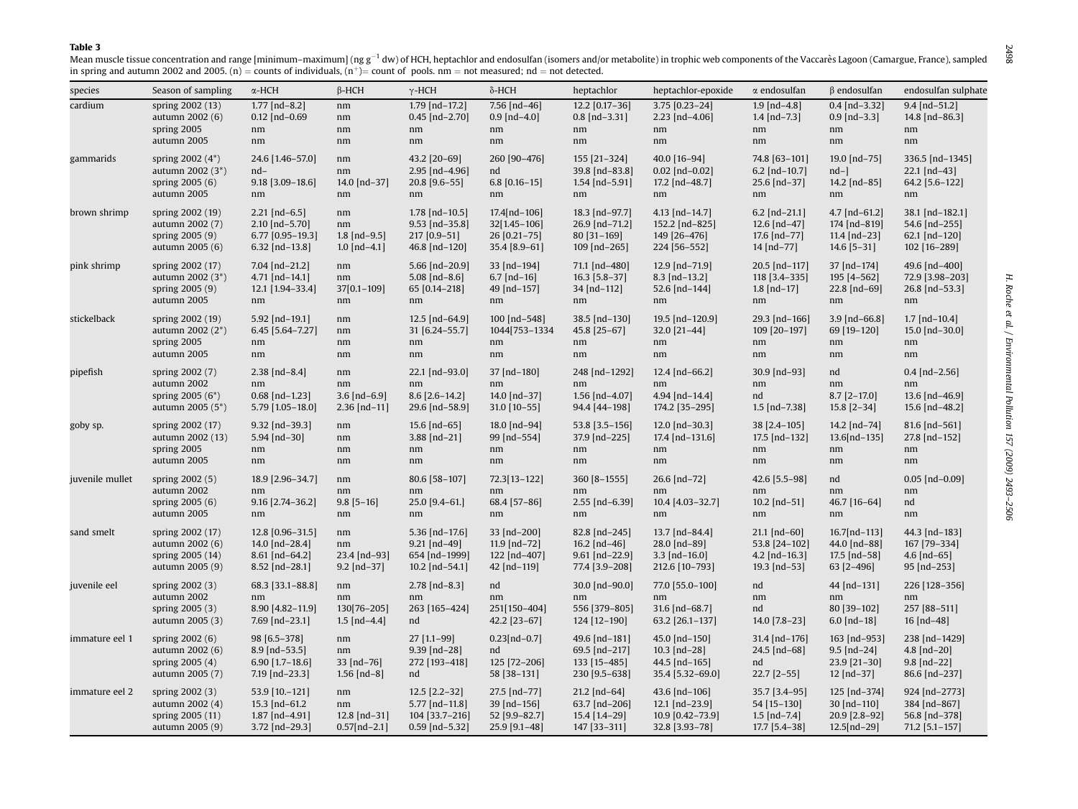#### <span id="page-5-0"></span>Table 3

2498 Mean muscle tissue concentration and range [minimum–maximum] (ng g<sup>-1</sup> dw) of HCH, heptachlor and endosulfan (isomers and/or metabolite) in trophic web components of the Vaccarès Lagoon (Camargue, France), sampled in spring and autumn 2002 and 2005. (n) = counts of individuals,  $(n^+)$  = count of pools. nm = not measured; nd = not detected.

| species         | Season of sampling  | $\alpha$ -HCH      | $\beta$ -HCH    | $\gamma$ -HCH        | δ-HCH           | heptachlor       | heptachlor-epoxide   | $\alpha$ endosulfan        | $\beta$ endosulfan | endosulfan sulphate  |
|-----------------|---------------------|--------------------|-----------------|----------------------|-----------------|------------------|----------------------|----------------------------|--------------------|----------------------|
| cardium         | spring 2002 (13)    | $1.77$ [nd-8.2]    | nm              | $1.79$ [nd-17.2]     | 7.56 [nd-46]    | 12.2 [0.17-36]   | 3.75 [0.23-24]       | $1.9$ [nd-4.8]             | $0.4$ [nd-3.32]    | $9.4$ [nd-51.2]      |
|                 | autumn 2002 (6)     | $0.12$ [nd-0.69    | nm              | $0.45$ [nd-2.70]     | $0.9$ [nd-4.0]  | $0.8$ [nd-3.31]  | $2.23$ [nd-4.06]     | $1.4$ [nd-7.3]             | $0.9$ [nd-3.3]     | 14.8 [nd-86.3]       |
|                 | spring 2005         | nm                 | nm              | nm                   | nm              | nm               | nm                   | nm                         | nm                 | nm                   |
|                 | autumn 2005         | nm                 | nm              | nm                   | nm              | nm               | nm                   | nm                         | nm                 | nm                   |
| gammarids       | spring 2002 (4*)    | 24.6 [1.46-57.0]   | nm              | 43.2 [20-69]         | 260 [90-476]    | 155 [21-324]     | 40.0 [16-94]         | 74.8 [63-101]              | 19.0 [nd-75]       | 336.5 [nd-1345]      |
|                 | autumn 2002 (3*)    | $nd-$              | nm              | 2.95 [nd-4.96]       | nd              | 39.8 [nd-83.8]   | $0.02$ [nd- $0.02$ ] | 6.2 $[nd-10.7]$            | $nd-$              | $22.1$ [nd-43]       |
|                 | spring 2005 (6)     | $9.18$ [3.09-18.6] | 14.0 [nd-37]    | 20.8 [9.6-55]        | $6.8$ [0.16-15] | $1.54$ [nd-5.91] | 17.2 [nd-48.7]       | 25.6 [nd-37]               | 14.2 [ $nd-85$ ]   | 64.2 [5.6-122]       |
|                 | autumn 2005         | nm                 | nm              | nm                   | nm              | nm               | nm                   | nm                         | nm                 | nm                   |
| brown shrimp    | spring 2002 (19)    | $2.21$ [nd-6.5]    | nm              | $1.78$ [nd- $10.5$ ] | $17.4[nd-106]$  | 18.3 [nd-97.7]   | 4.13 $[nd-14.7]$     | 6.2 $[nd-21.1]$            | 4.7 $[nd-61.2]$    | 38.1 [nd-182.1]      |
|                 | autumn 2002 (7)     | $2.10$ [nd-5.70]   | nm              | $9.53$ [nd-35.8]     | 32[1.45-106]    | 26.9 [nd-71.2]   | 152.2 [nd-825]       | 12.6 $\lceil nd-47 \rceil$ | 174 [nd-819]       | 54.6 [nd-255]        |
|                 | spring 2005 (9)     | 6.77 [0.95-19.3]   | $1.8$ [nd-9.5]  | 217 [0.9-51]         | 26 [0.21-75]    | 80 [31-169]      | 149 [26-476]         | 17.6 [nd-77]               | 11.4 $[nd-23]$     | 62.1 [nd-120]        |
|                 | autumn 2005 (6)     | $6.32$ [nd-13.8]   | $1.0$ [nd-4.1]  | 46.8 [nd-120]        | 35.4 [8.9-61]   | $109$ [nd-265]   | 224 [56-552]         | $14$ [nd-77]               | $14.6$ [5-31]      | 102 [16-289]         |
| pink shrimp     | spring 2002 (17)    | $7.04$ [nd-21.2]   | nm              | 5.66 [nd-20.9]       | 33 [nd-194]     | 71.1 [nd-480]    | 12.9 [nd-71.9]       | 20.5 [nd-117]              | 37 [nd-174]        | 49.6 [nd-400]        |
|                 | autumn $2002(3^*)$  | $4.71$ [nd-14.1]   | nm              | $5.08$ [nd-8.6]      | $6.7$ [nd-16]   | $16.3$ [5.8-37]  | $8.3$ [nd-13.2]      | 118 [3.4-335]              | 195 [4-562]        | 72.9 [3.98-203]      |
|                 | spring 2005 (9)     | 12.1 [1.94-33.4]   | $37[0.1 - 109]$ | 65 [0.14-218]        | 49 [nd-157]     | $34$ [nd-112]    | 52.6 [nd-144]        | $1.8$ [nd-17]              | $22.8$ [nd-69]     | 26.8 [nd-53.3]       |
|                 | autumn 2005         | nm                 | nm              | nm                   | nm              | nm               | nm                   | nm                         | nm                 | nm                   |
| stickelback     | spring 2002 (19)    | 5.92 [nd-19.1]     | nm              | 12.5 [nd-64.9]       | 100 [nd-548]    | 38.5 [nd-130]    | 19.5 [nd-120.9]      | 29.3 [nd-166]              | $3.9$ [nd-66.8]    | $1.7$ [nd- $10.4$ ]  |
|                 | autumn $2002(2^*)$  | 6.45 [5.64-7.27]   | nm              | 31 [6.24-55.7]       | 1044 753 - 1334 | 45.8 [25-67]     | 32.0 [21-44]         | 109 [20-197]               | 69 [19-120]        | 15.0 [nd-30.0]       |
|                 | spring 2005         | nm                 | nm              | nm                   | nm              | nm               | nm                   | nm                         | nm                 | nm                   |
|                 | autumn 2005         | nm                 | nm              | nm                   | nm              | nm               | nm                   | nm                         | nm                 | nm                   |
| pipefish        | spring 2002 (7)     | $2.38$ [nd-8.4]    | nm              | 22.1 [nd-93.0]       | 37 [nd-180]     | 248 [nd-1292]    | 12.4 [nd-66.2]       | $30.9$ [nd-93]             | nd                 | $0.4$ [nd-2.56]      |
|                 | autumn 2002         | nm                 | nm              | nm                   | nm              | nm               | nm                   | nm                         | nm                 | nm                   |
|                 | spring 2005 (6*)    | $0.68$ [nd-1.23]   | 3.6 $[nd-6.9]$  | $8.6$ [2.6-14.2]     | 14.0 [nd-37]    | 1.56 $[nd-4.07]$ | 4.94 $[nd-14.4]$     | nd                         | $8.7$ [2-17.0]     | 13.6 [nd-46.9]       |
|                 | autumn 2005 $(5^*)$ | 5.79 [1.05-18.0]   | $2.36$ [nd-11]  | 29.6 [nd-58.9]       | 31.0 [10-55]    | 94.4 [44-198]    | 174.2 [35-295]       | $1.5$ [nd-7.38]            | $15.8$ [2-34]      | 15.6 [nd-48.2]       |
| goby sp.        | spring 2002 (17)    | $9.32$ [nd-39.3]   | nm              | 15.6 $[nd-65]$       | 18.0 [nd-94]    | 53.8 [3.5-156]   | 12.0 $[nd-30.3]$     | 38 [2.4-105]               | 14.2 [nd-74]       | $81.6$ [nd-561]      |
|                 | autumn 2002 (13)    | $5.94$ [nd-30]     | nm              | $3.88$ [nd-21]       | 99 [nd-554]     | 37.9 [nd-225]    | $17.4$ [nd-131.6]    | 17.5 [nd-132]              | $13.6[nd-135]$     | 27.8 [nd-152]        |
|                 | spring 2005         | nm                 | nm              | nm                   | nm              | nm               | nm                   | nm                         | nm                 | nm                   |
|                 | autumn 2005         | nm                 | nm              | nm                   | nm              | nm               | nm                   | nm                         | nm                 | nm                   |
| juvenile mullet | spring 2002 (5)     | 18.9 [2.96-34.7]   | nm              | 80.6 [58-107]        | 72.3[13-122]    | 360 [8-1555]     | 26.6 [nd-72]         | 42.6 [5.5-98]              | nd                 | $0.05$ [nd- $0.09$ ] |
|                 | autumn 2002         | nm                 | nm              | nm                   | nm              | nm               | nm                   | nm                         | nm                 | nm                   |
|                 | spring 2005 (6)     | $9.16$ [2.74-36.2] | $9.8$ [5-16]    | $25.0$ [9.4-61.]     | 68.4 [57-86]    | $2.55$ [nd-6.39] | $10.4$ [4.03-32.7]   | 10.2 $[nd-51]$             | 46.7 [16-64]       | nd                   |
|                 | autumn 2005         | nm                 | nm              | nm                   | nm              | nm               | nm                   | nm                         | nm                 | nm                   |
| sand smelt      | spring 2002 (17)    | 12.8 [0.96-31.5]   | nm              | 5.36 [nd-17.6]       | 33 [nd-200]     | 82.8 [nd-245]    | 13.7 [nd-84.4]       | $21.1$ [nd-60]             | 16.7[nd-113]       | 44.3 [nd-183]        |
|                 | autumn 2002 (6)     | 14.0 [nd-28.4]     | nm              | $9.21$ [nd-49]       | 11.9 $[nd-72]$  | 16.2 $[nd-46]$   | 28.0 [nd-89]         | 53.8 [24-102]              | 44.0 [nd-88]       | 167 [79-334]         |
|                 | spring 2005 (14)    | $8.61$ [nd-64.2]   | $23.4$ [nd-93]  | 654 [nd-1999]        | 122 [nd-407]    | $9.61$ [nd-22.9] | 3.3 $[nd-16.0]$      | 4.2 $[nd-16.3]$            | 17.5 $[nd-58]$     | 4.6 $[nd-65]$        |
|                 | autumn 2005 (9)     | 8.52 [nd-28.1]     | $9.2$ [nd-37]   | 10.2 [ $nd-54.1$ ]   | 42 [nd-119]     | 77.4 [3.9-208]   | 212.6 [10-793]       | 19.3 [ $nd-53$ ]           | 63 $[2-496]$       | 95 [nd-253]          |
| juvenile eel    | spring 2002 (3)     | 68.3 [33.1-88.8]   | nm              | $2.78$ [nd-8.3]      | nd              | 30.0 [nd-90.0]   | 77.0 [55.0-100]      | nd                         | 44 [nd-131]        | 226 [128-356]        |
|                 | autumn 2002         | nm                 | nm              | nm                   | nm              | nm               | nm                   | nm                         | nm                 | nm                   |
|                 | spring 2005 (3)     | 8.90 [4.82-11.9]   | 130[76-205]     | 263 [165-424]        | 251[150-404]    | 556 [379-805]    | $31.6$ [nd-68.7]     | nd                         | 80 [39-102]        | 257 [88-511]         |
|                 | autumn 2005 (3)     | $7.69$ [nd-23.1]   | 1.5 $[nd-4.4]$  | nd                   | 42.2 [23-67]    | 124 [12-190]     | 63.2 [26.1-137]      | 14.0 [7.8-23]              | $6.0$ [nd-18]      | 16 $[nd-48]$         |
| immature eel 1  | spring 2002 (6)     | 98 [6.5-378]       | nm              | $27$ [1.1-99]        | $0.23[nd-0.7]$  | 49.6 [nd-181]    | 45.0 [nd-150]        | 31.4 [nd-176]              | 163 [nd-953]       | 238 [nd-1429]        |
|                 | autumn 2002 (6)     | $8.9$ [nd-53.5]    | nm              | $9.39$ [nd-28]       | nd              | 69.5 [nd-217]    | $10.3$ [nd-28]       | 24.5 [nd-68]               | $9.5$ [nd-24]      | $4.8$ [nd-20]        |
|                 | spring $2005(4)$    | $6.90$ [1.7-18.6]  | $33$ [nd-76]    | 272 [193-418]        | 125 [72-206]    | 133 [15-485]     | 44.5 $[nd-165]$      | nd                         | 23.9 [21-30]       | $9.8$ [nd-22]        |
|                 | autumn 2005 (7)     | $7.19$ [nd-23.3]   | 1.56 $[nd-8]$   | nd                   | 58 [38-131]     | 230 [9.5-638]    | 35.4 [5.32-69.0]     | $22.7$ [2-55]              | $12$ [nd-37]       | 86.6 [nd-237]        |
| immature eel 2  | spring 2002 (3)     | 53.9 [10. - 121]   | nm              | $12.5$ [2.2-32]      | 27.5 [nd-77]    | $21.2$ [nd-64]   | 43.6 $[nd-106]$      | 35.7 [3.4-95]              | 125 [nd-374]       | 924 [nd-2773]        |
|                 | autumn 2002 (4)     | $15.3$ [nd-61.2]   | nm              | 5.77 [nd-11.8]       | 39 [nd-156]     | 63.7 [nd-206]    | $12.1$ [nd-23.9]     | 54 [15-130]                | 30 $[nd-110]$      | 384 [nd-867]         |
|                 | spring 2005 (11)    | $1.87$ [nd-4.91]   | 12.8 $[nd-31]$  | 104 [33.7-216]       | 52 [9.9-82.7]   | 15.4 [1.4-29]    | 10.9 [0.42-73.9]     | $1.5$ [nd-7.4]             | 20.9 [2.8-92]      | 56.8 [nd-378]        |
|                 | autumn 2005 (9)     | $3.72$ [nd-29.3]   | $0.57[nd-2.1]$  | $0.59$ [nd-5.32]     | 25.9 [9.1-48]   | 147 [33-311]     | 32.8 [3.93-78]       | 17.7 [5.4-38]              | $12.5[nd-29]$      | 71.2 [5.1-157]       |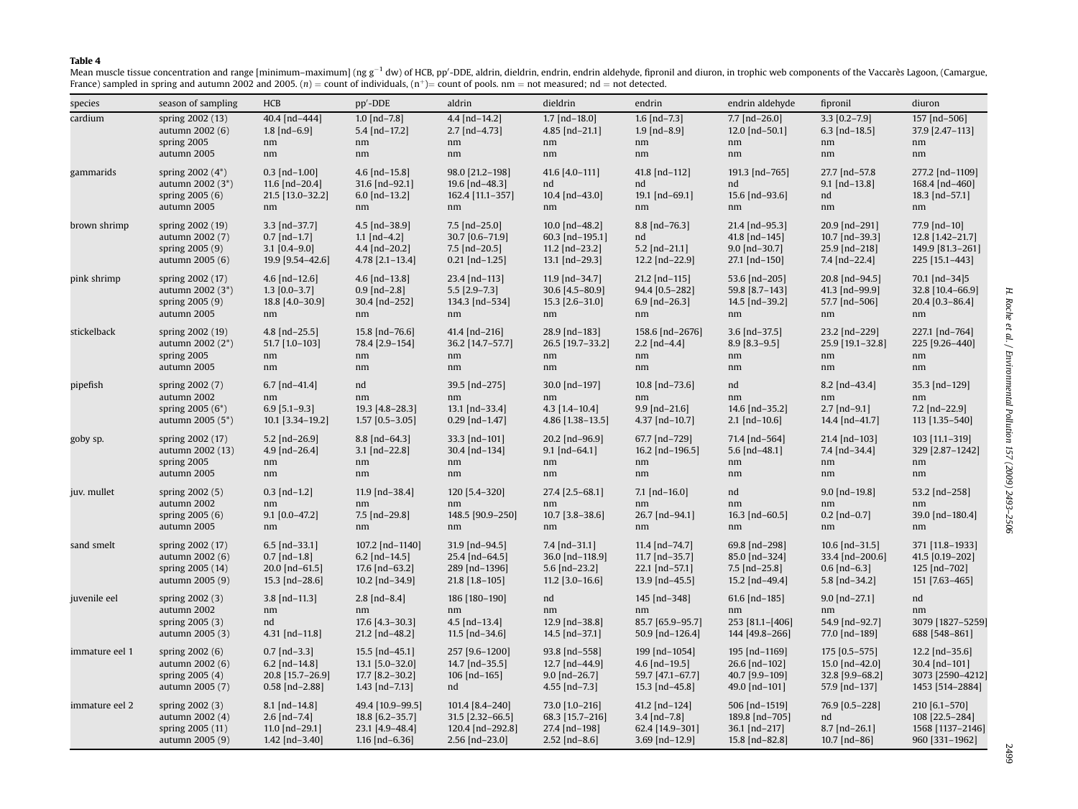#### Table 4

Mean muscle tissue concentration and range [minimum–maximum] (ng g<sup>-1</sup> dw) of HCB, pp<sup>1</sup>-DDE, aldrin, dieldrin, endrin, endrin aldehyde, fipronil and diuron, in trophic web components of the Vaccarès Lagoon, (Camargue, France) sampled in spring and autumn 2002 and 2005. (n) = count of individuals, (n<sup>+</sup>)= count of pools. nm = not measured; nd = not detected.

| species        | season of sampling | HCB                | pp'-DDE                     | aldrin           | dieldrin            | endrin           | endrin aldehyde  | fipronil           | diuron            |
|----------------|--------------------|--------------------|-----------------------------|------------------|---------------------|------------------|------------------|--------------------|-------------------|
| cardium        | spring 2002 (13)   | 40.4 [nd-444]      | $1.0$ [nd-7.8]              | 4.4 $[nd-14.2]$  | $1.7$ [nd- $18.0$ ] | $1.6$ [nd-7.3]   | $7.7$ [nd-26.0]  | $3.3$ [0.2-7.9]    | 157 [nd-506]      |
|                | autumn 2002 (6)    | 1.8 $[nd-6.9]$     | $5.4$ [nd-17.2]             | $2.7$ [nd-4.73]  | 4.85 $[nd-21.1]$    | $1.9$ [nd-8.9]   | 12.0 $[nd-50.1]$ | 6.3 $[nd-18.5]$    | 37.9 [2.47-113]   |
|                | spring 2005        | nm                 | nm                          | nm               | nm                  | nm               | nm               | nm                 | nm                |
|                | autumn 2005        | nm                 | nm                          | nm               | nm                  | nm               | nm               | nm                 | nm                |
| gammarids      | spring 2002 (4*)   | $0.3$ [nd-1.00]    | 4.6 $[nd-15.8]$             | 98.0 [21.2-198]  | 41.6 [4.0-111]      | 41.8 [nd-112]    | 191.3 [nd-765]   | 27.7 [nd-57.8]     | 277.2 [nd-1109]   |
|                | autumn 2002 (3*)   | 11.6 $[nd-20.4]$   | 31.6 [nd-92.1]              | 19.6 [nd-48.3]   | nd                  | nd               | nd               | $9.1$ [nd-13.8]    | 168.4 [nd-460]    |
|                | spring 2005 (6)    | 21.5 [13.0-32.2]   | $6.0$ [nd-13.2]             | 162.4 [11.1-357] | $10.4$ [nd-43.0]    | 19.1 [nd-69.1]   | 15.6 [nd-93.6]   | nd                 | $18.3$ [nd-57.1]  |
|                | autumn 2005        | nm                 | nm                          | nm               | nm                  | nm               | nm               | nm                 | nm                |
| brown shrimp   | spring 2002 (19)   | 3.3 $[nd-37.7]$    | 4.5 $[nd-38.9]$             | $7.5$ [nd-25.0]  | 10.0 $[nd-48.2]$    | 8.8 [nd-76.3]    | 21.4 [nd-95.3]   | 20.9 [nd-291]      | 77.9 [nd-10]      |
|                | autumn 2002 (7)    | $0.7$ [nd-1.7]     | 1.1 $\lceil nd-4.2 \rceil$  | 30.7 [0.6-71.9]  | 60.3 [nd-195.1]     | nd               | 41.8 $[nd-145]$  | 10.7 [nd-39.3]     | 12.8 [1.42-21.7]  |
|                | spring 2005 (9)    | $3.1$ [0.4-9.0]    | 4.4 $\lceil nd-20.2 \rceil$ | $7.5$ [nd-20.5]  | 11.2 $[nd-23.2]$    | $5.2$ [nd-21.1]  | $9.0$ [nd-30.7]  | 25.9 [nd-218]      | 149.9 [81.3-261]  |
|                | autumn 2005 (6)    | 19.9 [9.54-42.6]   | $4.78$ [2.1-13.4]           | $0.21$ [nd-1.25] | 13.1 $[nd-29.3]$    | 12.2 [nd-22.9]   | 27.1 [nd-150]    | $7.4$ [nd-22.4]    | 225 [15.1-443]    |
| pink shrimp    | spring 2002 (17)   | 4.6 $[nd-12.6]$    | 4.6 $[nd-13.8]$             | 23.4 [nd-113]    | 11.9 [nd-34.7]      | 21.2 [nd-115]    | 53.6 [nd-205]    | 20.8 [nd-94.5]     | 70.1 [nd-34]5     |
|                | autumn 2002 (3*)   | $1.3$ [0.0-3.7]    | $0.9$ [nd-2.8]              | $5.5$ [2.9-7.3]  | 30.6 [4.5-80.9]     | 94.4 [0.5-282]   | 59.8 [8.7-143]   | 41.3 [nd-99.9]     | 32.8 [10.4-66.9]  |
|                | spring 2005 (9)    | 18.8 [4.0-30.9]    | $30.4$ [nd-252]             | 134.3 [nd-534]   | $15.3$ [2.6-31.0]   | $6.9$ [nd-26.3]  | 14.5 [nd-39.2]   | 57.7 [nd-506]      | $20.4$ [0.3-86.4] |
|                | autumn 2005        | nm                 | nm                          | nm               | nm                  | nm               | nm               | nm                 | nm                |
| stickelback    | spring 2002 (19)   | 4.8 $[nd-25.5]$    | 15.8 [nd-76.6]              | $41.4$ [nd-216]  | $28.9$ [nd-183]     | 158.6 [nd-2676]  | 3.6 [nd-37.5]    | $23.2$ [nd-229]    | 227.1 [nd-764]    |
|                | autumn 2002 (2*)   | 51.7 [1.0-103]     | 78.4 [2.9-154]              | 36.2 [14.7-57.7] | 26.5 [19.7-33.2]    | $2.2$ [nd-4.4]   | $8.9$ [8.3-9.5]  | 25.9 [19.1-32.8]   | 225 [9.26-440]    |
|                | spring 2005        | nm                 | nm                          | nm               | nm                  | nm               | nm               | nm                 | nm                |
|                | autumn 2005        | nm                 | nm                          | nm               | nm                  | nm               | nm               | nm                 | nm                |
| pipefish       | spring 2002 (7)    | 6.7 $[nd-41.4]$    | nd                          | 39.5 [nd-275]    | 30.0 [nd-197]       | 10.8 $[nd-73.6]$ | nd               | $8.2$ [nd-43.4]    | 35.3 [nd-129]     |
|                | autumn 2002        | nm                 | nm                          | nm               | nm                  | nm               | nm               | nm                 | nm                |
|                | spring 2005 (6*)   | $6.9$ [5.1-9.3]    | 19.3 [4.8-28.3]             | 13.1 [nd-33.4]   | $4.3$ [1.4-10.4]    | $9.9$ [nd-21.6]  | 14.6 [nd-35.2]   | $2.7$ [nd-9.1]     | $7.2$ [nd-22.9]   |
|                | autumn 2005 (5*)   | 10.1 [3.34-19.2]   | $1.57$ [0.5-3.05]           | $0.29$ [nd-1.47] | 4.86 [1.38-13.5]    | $4.37$ [nd-10.7] | $2.1$ [nd-10.6]  | 14.4 [ $nd-41.7$ ] | 113 [1.35-540]    |
| goby sp.       | spring 2002 (17)   | $5.2$ [nd-26.9]    | $8.8$ [nd-64.3]             | 33.3 [nd-101]    | 20.2 [nd-96.9]      | 67.7 [nd-729]    | 71.4 [nd-564]    | 21.4 [nd-103]      | 103 [11.1-319]    |
|                | autumn 2002 (13)   | 4.9 $[nd-26.4]$    | $3.1$ [nd-22.8]             | 30.4 [nd-134]    | 9.1 $[nd-64.1]$     | 16.2 [nd-196.5]  | 5.6 $[nd-48.1]$  | $7.4$ [nd-34.4]    | 329 [2.87-1242]   |
|                | spring 2005        | nm                 | nm                          | nm               | nm                  | nm               | nm               | nm                 | nm                |
|                | autumn 2005        | nm                 | nm                          | nm               | nm                  | nm               | nm               | nm                 | nm                |
| juv. mullet    | spring 2002 (5)    | $0.3$ [nd-1.2]     | 11.9 [nd-38.4]              | 120 [5.4-320]    | 27.4 [2.5-68.1]     | $7.1$ [nd-16.0]  | nd               | $9.0$ [nd-19.8]    | 53.2 [nd-258]     |
|                | autumn 2002        | nm                 | nm                          | nm               | nm                  | nm               | nm               | nm                 | nm                |
|                | spring 2005 (6)    | $9.1$ [0.0-47.2]   | $7.5$ [nd-29.8]             | 148.5 [90.9-250] | $10.7$ [3.8–38.6]   | 26.7 [nd-94.1]   | 16.3 $[nd-60.5]$ | $0.2$ [nd-0.7]     | 39.0 [nd-180.4]   |
|                | autumn 2005        | nm                 | nm                          | nm               | nm                  | nm               | nm               | nm                 | nm                |
| sand smelt     | spring 2002 (17)   | 6.5 $[nd-33.1]$    | 107.2 [nd-1140]             | 31.9 [nd-94.5]   | $7.4$ [nd-31.1]     | 11.4 [nd-74.7]   | 69.8 [nd-298]    | 10.6 $[nd-31.5]$   | 371 [11.8-1933]   |
|                | autumn 2002 (6)    | $0.7$ [nd-1.8]     | 6.2 $[nd-14.5]$             | $25.4$ [nd-64.5] | 36.0 [nd-118.9]     | 11.7 [nd-35.7]   | 85.0 [nd-324]    | 33.4 [nd-200.6]    | 41.5 [0.19-202]   |
|                | spring 2005 (14)   | 20.0 [nd-61.5]     | 17.6 [nd-63.2]              | 289 [nd-1396]    | 5.6 $[nd-23.2]$     | 22.1 [nd-57.1]   | $7.5$ [nd-25.8]  | $0.6$ [nd-6.3]     | 125 [nd-702]      |
|                | autumn 2005 (9)    | 15.3 [nd-28.6]     | 10.2 [ $nd-34.9$ ]          | 21.8 [1.8-105]   | $11.2$ [3.0-16.6]   | 13.9 [nd-45.5]   | 15.2 [nd-49.4]   | 5.8 [nd-34.2]      | 151 [7.63-465]    |
| juvenile eel   | spring 2002 (3)    | $3.8$ [nd-11.3]    | $2.8$ [nd-8.4]              | 186 [180-190]    | nd                  | 145 [nd-348]     | 61.6 $[nd-185]$  | $9.0$ [nd-27.1]    | nd                |
|                | autumn 2002        | nm                 | nm                          | nm               | nm                  | nm               | nm               | nm                 | nm                |
|                | spring 2005 (3)    | nd                 | 17.6 [4.3-30.3]             | $4.5$ [nd-13.4]  | 12.9 [nd-38.8]      | 85.7 [65.9-95.7] | 253 [81.1-[406]  | 54.9 [nd-92.7]     | 3079 [1827-5259]  |
|                | autumn 2005 (3)    | 4.31 $[nd-11.8]$   | $21.2$ [nd-48.2]            | 11.5 $[nd-34.6]$ | 14.5 [nd-37.1]      | 50.9 [nd-126.4]  | 144 [49.8-266]   | 77.0 [nd-189]      | 688 [548-861]     |
| immature eel 1 | spring 2002 (6)    | $0.7$ [nd-3.3]     | 15.5 $[nd-45.1]$            | 257 [9.6-1200]   | 93.8 [nd-558]       | 199 [nd-1054]    | 195 [nd-1169]    | 175 [0.5-575]      | $12.2$ [nd-35.6]  |
|                | autumn 2002 (6)    | 6.2 $[nd-14.8]$    | 13.1 [5.0-32.0]             | 14.7 [nd-35.5]   | 12.7 [nd-44.9]      | $4.6$ [nd-19.5]  | 26.6 [nd-102]    | 15.0 [nd-42.0]     | 30.4 [nd-101]     |
|                | spring 2005 (4)    | 20.8 [15.7-26.9]   | 17.7 [8.2-30.2]             | 106 $[nd-165]$   | $9.0$ [nd-26.7]     | 59.7 [47.1-67.7] | 40.7 [9.9-109]   | 32.8 [9.9-68.2]    | 3073 [2590-4212]  |
|                | autumn 2005 (7)    | $0.58$ [nd-2.88]   | 1.43 $[nd-7.13]$            | nd               | 4.55 $[nd-7.3]$     | 15.3 $[nd-45.8]$ | 49.0 [nd-101]    | 57.9 [nd-137]      | 1453 [514-2884]   |
| immature eel 2 | spring 2002 (3)    | $8.1$ [nd-14.8]    | 49.4 [10.9-99.5]            | 101.4 [8.4-240]  | 73.0 [1.0-216]      | 41.2 $[nd-124]$  | 506 [nd-1519]    | 76.9 [0.5-228]     | 210 [6.1-570]     |
|                | autumn 2002 (4)    | $2.6$ [nd-7.4]     | 18.8 [6.2-35.7]             | 31.5 [2.32-66.5] | 68.3 [15.7-216]     | $3.4$ [nd-7.8]   | 189.8 [nd-705]   | nd                 | 108 [22.5-284]    |
|                | spring 2005 (11)   | 11.0 $[nd-29.1]$   | 23.1 [4.9-48.4]             | 120.4 [nd-292.8] | 27.4 [nd-198]       | 62.4 [14.9-301]  | 36.1 [nd-217]    | $8.7$ [nd-26.1]    | 1568 [1137-2146]  |
|                | autumn 2005 (9)    | 1.42 [ $nd-3.40$ ] | 1.16 $[nd-6.36]$            | $2.56$ [nd-23.0] | $2.52$ [nd-8.6]     | $3.69$ [nd-12.9] | 15.8 [nd-82.8]   | $10.7$ [nd-86]     | 960 [331-1962]    |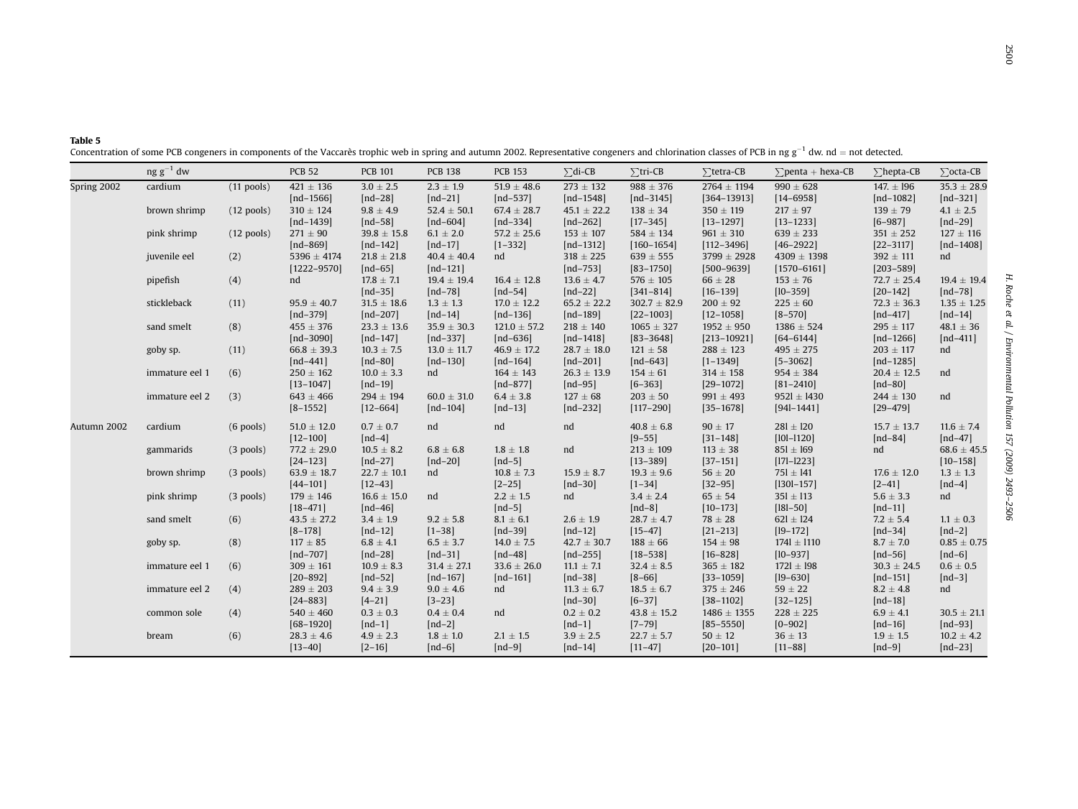<span id="page-7-0"></span>Table 5

Concentration of some PCB congeners in components of the Vaccares trophic web in spring and autumn 2002. Representative congeners and chlorination classes of PCB in ng  $g^{-1}$  dw. nd = not detected.

|             | $ng g^{-1}$ dw |                      | <b>PCB 52</b>                | <b>PCB 101</b>                        | <b>PCB 138</b>                           | <b>PCB 153</b>                            | $\Sigma$ di-CB                           | $\Sigma$ tri-CB             | $\sum$ tetra-CB                  | $\sum$ penta + hexa-CB        | $\sum$ hepta-CB                       | $\sum$ octa-CB              |
|-------------|----------------|----------------------|------------------------------|---------------------------------------|------------------------------------------|-------------------------------------------|------------------------------------------|-----------------------------|----------------------------------|-------------------------------|---------------------------------------|-----------------------------|
| Spring 2002 | cardium        | $(11$ pools)         | $421 \pm 136$                | $3.0 \pm 2.5$                         | $2.3 \pm 1.9$                            | $51.9 \pm 48.6$                           | $273 \pm 132$                            | $988 \pm 376$               | $2764 \pm 1194$                  | $990 \pm 628$                 | $147. \pm 196$                        | $35.3 \pm 28.9$             |
|             | brown shrimp   | $(12 \text{ pools})$ | $[nd-1566]$<br>$310 \pm 124$ | $\lceil nd-28\rceil$<br>$9.8 \pm 4.9$ | $\lceil nd-21 \rceil$<br>$52.4 \pm 50.1$ | $\lceil nd-537 \rceil$<br>$67.4 \pm 28.7$ | $[nd-1548]$<br>$45.1 \pm 22.2$           | $[nd-3145]$<br>$138 \pm 34$ | $[364 - 13913]$<br>$350 \pm 119$ | $[14 - 6958]$<br>$217 \pm 97$ | $[nd-1082]$<br>$139 \pm 79$           | $[nd-321]$<br>$4.1 \pm 2.5$ |
|             |                |                      | $\lceil nd-1439\rceil$       | $[nd-58]$                             | $[nd-604]$                               | [ $nd-334$ ]                              | $[nd-262]$                               | $[17 - 345]$                | $[13 - 1297]$                    | $[13 - 1233]$                 | $[6 - 987]$                           | $[nd-29]$                   |
|             | pink shrimp    | $(12 \text{ pools})$ | $271 \pm 90$                 | $39.8 \pm 15.8$                       | $6.1 \pm 2.0$                            | $57.2 \pm 25.6$                           | $153 \pm 107$                            | $584 \pm 134$               | $961 \pm 310$                    | $639 \pm 233$                 | $351 \pm 252$                         | $127 \pm 116$               |
|             |                |                      | $[nd-869]$                   | $[nd-142]$                            | $\lceil nd-17 \rceil$                    | $[1 - 332]$                               | $[nd-1312]$                              | $[160 - 1654]$              | $[112 - 3496]$                   | $[46 - 2922]$                 | $[22 - 3117]$                         | $[nd-1408]$                 |
|             | juvenile eel   | (2)                  | $5396 \pm 4174$              | $21.8 \pm 21.8$                       | $40.4 \pm 40.4$                          | nd                                        | $318 \pm 225$                            | $639 \pm 555$               | $3799 \pm 2928$                  | $4309 \pm 1398$               | $392 \pm 111$                         | nd                          |
|             |                |                      | $[1222 - 9570]$              | $[nd-65]$                             | $\lceil nd-121 \rceil$                   |                                           | [ $nd-753$ ]                             | $[83 - 1750]$               | $[500 - 9639]$                   | $[1570 - 6161]$               | $[203 - 589]$                         |                             |
|             | pipefish       | (4)                  | nd                           | $17.8 \pm 7.1$                        | $19.4 \pm 19.4$                          | $16.4 \pm 12.8$                           | $13.6 \pm 4.7$                           | $576 \pm 105$               | $66\pm28$                        | $153 \pm 76$                  | $72.7 \pm 25.4$                       | $19.4 \pm 19.4$             |
|             |                |                      |                              | $\lceil nd-35\rceil$                  | [ $nd-78$ ]                              | $[nd-54]$                                 | $[nd-22]$                                | $[341 - 814]$               | $[16 - 139]$                     | $[10 - 359]$                  | $[20-142]$                            | $[nd-78]$                   |
|             | stickleback    | (11)                 | $95.9 \pm 40.7$              | $31.5 \pm 18.6$                       | $1.3 \pm 1.3$                            | $17.0 \pm 12.2$                           | $65.2 \pm 22.2$                          | $302.7 \pm 82.9$            | $200 \pm 92$                     | $225 \pm 60$                  | $72.3 \pm 36.3$                       | $1.35 \pm 1.25$             |
|             |                |                      | $[nd-379]$                   | $[nd-207]$                            | $\lceil nd-14 \rceil$                    | [ $nd-136$ ]                              | $[nd-189]$                               | $[22 - 1003]$               | $[12 - 1058]$                    | $[8 - 570]$                   | [ $nd-417$ ]                          | $[nd-14]$                   |
|             | sand smelt     | (8)                  | $455 \pm 376$                | $23.3 \pm 13.6$                       | $35.9 \pm 30.3$                          | $121.0 \pm 57.2$                          | $218 \pm 140$                            | $1065 \pm 327$              | $1952 \pm 950$                   | $1386 \pm 524$                | $295 \pm 117$                         | $48.1 \pm 36$               |
|             |                |                      | $[nd-3090]$                  | $\lceil nd-147 \rceil$                | $[nd-337]$                               | $[nd-636]$                                | $[nd-1418]$                              | $[83 - 3648]$               | $[213 - 10921]$                  | $[64 - 6144]$                 | $[nd-1266]$                           | [ $nd-411$ ]                |
|             | goby sp.       | (11)                 | $66.8 \pm 39.3$              | $10.3 \pm 7.5$                        | $13.0 \pm 11.7$                          | $46.9 \pm 17.2$                           | $28.7 \pm 18.0$                          | $121 \pm 58$                | $288 \pm 123$                    | $495 \pm 275$                 | $203 \pm 117$                         | nd                          |
|             | immature eel 1 | (6)                  | $[nd-441]$<br>$250 \pm 162$  | $[nd-80]$<br>$10.0 \pm 3.3$           | $[nd-130]$<br>nd                         | $\lceil nd-164 \rceil$<br>$164 \pm 143$   | $[nd-201]$<br>$26.3 \pm 13.9$            | $[nd-643]$<br>$154 \pm 61$  | $[1 - 1349]$<br>$314\pm158$      | $[5 - 3062]$<br>$954 \pm 384$ | $[nd-1285]$<br>$20.4 \pm 12.5$        | nd                          |
|             |                |                      | $[13 - 1047]$                | $\lceil nd-19 \rceil$                 |                                          | $\lceil nd-877 \rceil$                    | $[nd-95]$                                | $[6 - 363]$                 | $[29-1072]$                      | $[81 - 2410]$                 | $[nd-80]$                             |                             |
|             | immature eel 2 | (3)                  | $643 \pm 466$                | $294 \pm 194$                         | $60.0 \pm 31.0$                          | $6.4 \pm 3.8$                             | $127 \pm 68$                             | $203 \pm 50$                | $991 \pm 493$                    | $9521 \pm 1430$               | $244 \pm 130$                         | nd                          |
|             |                |                      | $[8 - 1552]$                 | $[12 - 664]$                          | $\lceil nd-104 \rceil$                   | $[nd-13]$                                 | $[nd-232]$                               | $[117 - 290]$               | $[35 - 1678]$                    | $[94]-1441]$                  | $[29 - 479]$                          |                             |
| Autumn 2002 | cardium        | $(6$ pools)          | $51.0 \pm 12.0$              | $0.7 \pm 0.7$                         | nd                                       | nd                                        | nd                                       | $40.8 \pm 6.8$              | $90\pm17$                        | $28l \pm l20$                 | $15.7 \pm 13.7$                       | $11.6 \pm 7.4$              |
|             |                |                      | $[12 - 100]$                 | $\lceil nd-4 \rceil$                  |                                          |                                           |                                          | $[9 - 55]$                  | $[31 - 148]$                     | $[101 - 1120]$                | $\lceil nd-84\rceil$                  | $[nd-47]$                   |
|             | gammarids      | $(3$ pools)          | $77.2 \pm 29.0$              | $10.5 \pm 8.2$                        | $6.8 \pm 6.8$                            | $1.8 \pm 1.8$                             | nd                                       | $213 \pm 109$               | $113 \pm 38$                     | $851 \pm 169$                 | nd                                    | $68.6 \pm 45.5$             |
|             |                |                      | $[24-123]$                   | $\lceil nd-27 \rceil$                 | $\lceil nd-20 \rceil$                    | $[nd-5]$                                  |                                          | $[13 - 389]$                | $[37-151]$                       | $[171 - 1223]$                |                                       | $[10-158]$                  |
|             | brown shrimp   | $(3$ pools)          | $63.9 \pm 18.7$              | $22.7 \pm 10.1$                       | nd                                       | $10.8 \pm 7.3$                            | $15.9 \pm 8.7$                           | $19.3 \pm 9.6$              | $56\pm20$                        | $751 \pm 141$                 | $17.6 \pm 12.0$                       | $1.3 \pm 1.3$               |
|             |                |                      | $[44 - 101]$                 | $[12-43]$                             |                                          | $[2 - 25]$                                | $[nd-30]$                                | $[1 - 34]$                  | $[32 - 95]$                      | $[1301 - 157]$                | $[2-41]$                              | $[nd-4]$                    |
|             | pink shrimp    | $(3$ pools)          | $179 \pm 146$                | $16.6 \pm 15.0$                       | nd                                       | $2.2 \pm 1.5$                             | nd                                       | $3.4 \pm 2.4$               | $65\pm54$                        | $351 \pm 113$                 | $5.6 \pm 3.3$                         | nd                          |
|             |                |                      | $[18 - 471]$                 | [ $nd-46$ ]                           |                                          | $[nd-5]$                                  |                                          | $\lceil nd-8 \rceil$        | $[10-173]$                       | $[181 - 50]$                  | $\lceil nd-11 \rceil$                 |                             |
|             | sand smelt     | (6)                  | $43.5 \pm 27.2$              | $3.4 \pm 1.9$                         | $9.2\,\pm\,5.8$                          | $8.1 \pm 6.1$                             | $2.6 \pm 1.9$                            | $28.7 \pm 4.7$              | $78\pm28$                        | $621 \pm 124$                 | $7.2 \pm 5.4$                         | $1.1 \pm 0.3$               |
|             |                |                      | $[8 - 178]$<br>$117 \pm 85$  | $[nd-12]$<br>$6.8 \pm 4.1$            | $[1 - 38]$<br>$6.5 \pm 3.7$              | $[nd-39]$<br>$14.0 \pm 7.5$               | $\lceil nd-12 \rceil$<br>$42.7 \pm 30.7$ | $[15 - 47]$<br>$188\pm66$   | $[21 - 213]$<br>$154\pm98$       | $[19-172]$<br>$1741 \pm 1110$ | $\lceil nd-34\rceil$<br>$8.7 \pm 7.0$ | $[nd-2]$<br>$0.85 \pm 0.75$ |
|             | goby sp.       | (8)                  | $[nd-707]$                   | $\lceil nd-28 \rceil$                 | $\lceil nd-31 \rceil$                    | $\lceil nd-48 \rceil$                     | $[nd-255]$                               | $[18 - 538]$                | $[16 - 828]$                     | $[10-937]$                    | $\lceil nd-56\rceil$                  | $[nd-6]$                    |
|             | immature eel 1 | (6)                  | $309 \pm 161$                | $10.9 \pm 8.3$                        | $31.4 \pm 27.1$                          | $33.6 \pm 26.0$                           | $11.1\,\pm\,7.1$                         | $32.4 \pm 8.5$              | $365 \pm 182$                    | $1721 \pm 198$                | $30.3 \pm 24.5$                       | $0.6\,\pm\,0.5$             |
|             |                |                      | $[20 - 892]$                 | [ $nd-52$ ]                           | [ $nd-167$ ]                             | [ $nd-161$ ]                              | $[nd-38]$                                | $[8 - 66]$                  | $[33 - 1059]$                    | $[19 - 630]$                  | $[nd-151]$                            | $[nd-3]$                    |
|             | immature eel 2 | (4)                  | $289\pm203$                  | $9.4 \pm 3.9$                         | $9.0 \pm 4.6$                            | nd                                        | $11.3 \pm 6.7$                           | $18.5 \pm 6.7$              | $375 \pm 246$                    | $59\pm22$                     | $8.2 \pm 4.8$                         | nd                          |
|             |                |                      | $[24 - 883]$                 | $[4-21]$                              | $[3-23]$                                 |                                           | $[nd-30]$                                | $[6 - 37]$                  | $[38 - 1102]$                    | $[32-125]$                    | $\lceil nd-18 \rceil$                 |                             |
|             | common sole    | (4)                  | $540 \pm 460$                | $0.3 \pm 0.3$                         | $0.4 \pm 0.4$                            | nd                                        | $0.2\,\pm\,0.2$                          | $43.8 \pm 15.2$             | $1486 \pm 1355$                  | $228 \pm 225$                 | $6.9 \pm 4.1$                         | $30.5 \pm 21.1$             |
|             |                |                      | $[68 - 1920]$                | $[nd-1]$                              | $[nd-2]$                                 |                                           | $[nd-1]$                                 | $[7 - 79]$                  | $[85 - 5550]$                    | $[0 - 902]$                   | $[nd-16]$                             | $[nd-93]$                   |
|             | bream          | (6)                  | $28.3 \pm 4.6$               | $4.9 \pm 2.3$                         | $1.8 \pm 1.0$                            | $2.1 \pm 1.5$                             | $3.9 \pm 2.5$                            | $22.7 \pm 5.7$              | $50\pm12$                        | $36 \pm 13$                   | $1.9 \pm 1.5$                         | $10.2 \pm 4.2$              |
|             |                |                      | $[13 - 40]$                  | $[2 - 16]$                            | $[nd-6]$                                 | $[nd-9]$                                  | $\lceil nd-14 \rceil$                    | $[11-47]$                   | $[20-101]$                       | $[11 - 88]$                   | $\lceil nd-9 \rceil$                  | $[nd-23]$                   |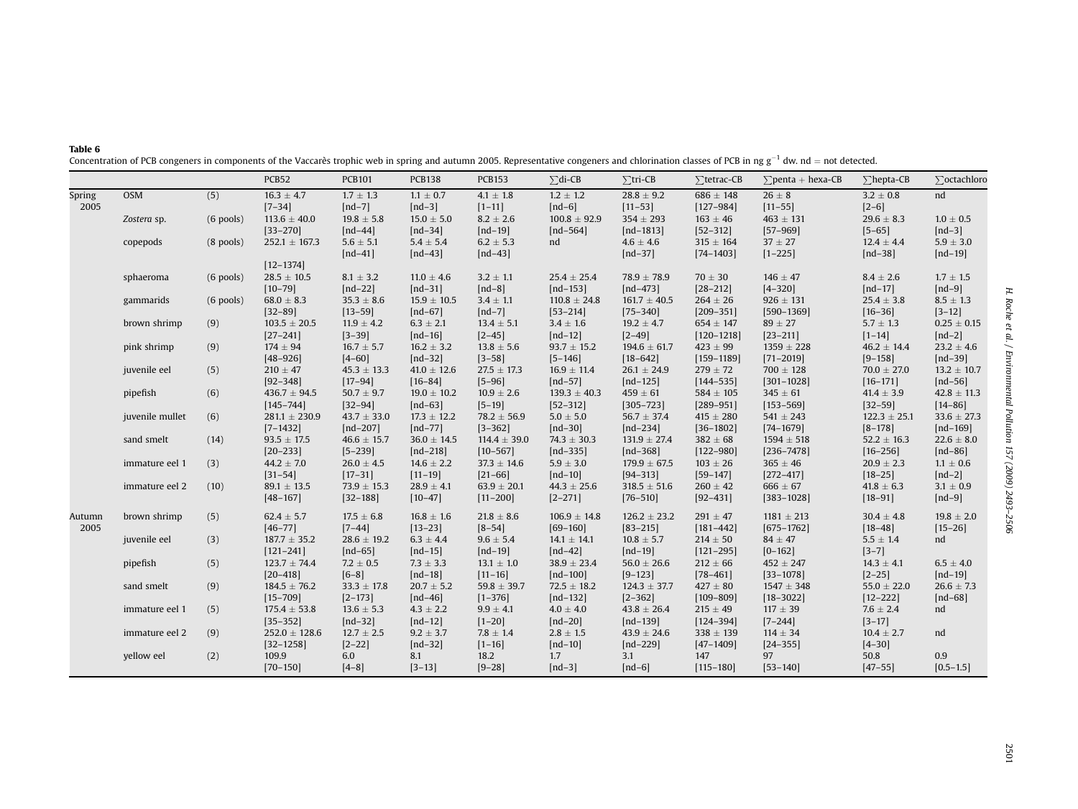| n<br>ı<br>$\sim$<br>۹<br>٠ |
|----------------------------|
|----------------------------|

**Table 6**<br>Concentration of PCB congeners in components of the Vaccarès trophic web in spring and autumn 2005. Representative congeners and chlorination classes of PCB in ng g<sup>–1</sup> dw. nd = not detected.

|                |                                  |             | PCB52                                            | <b>PCB101</b>                                  | <b>PCB138</b>                                   | <b>PCB153</b>                                     | $\sum$ di-CB                                               | $\sum$ tri-CB                                              | $\sum$ tetrac-CB                             | $\sum$ penta + hexa-CB                         | $\sum$ hepta-CB                                        | ∑octachloro                                |
|----------------|----------------------------------|-------------|--------------------------------------------------|------------------------------------------------|-------------------------------------------------|---------------------------------------------------|------------------------------------------------------------|------------------------------------------------------------|----------------------------------------------|------------------------------------------------|--------------------------------------------------------|--------------------------------------------|
| Spring<br>2005 | <b>OSM</b>                       | (5)         | $16.3 \pm 4.7$<br>$[7 - 34]$                     | $1.7 \pm 1.3$<br>$\lceil nd-7 \rceil$          | $1.1 \pm 0.7$<br>$[nd-3]$                       | $4.1 \pm 1.8$<br>$[1 - 11]$                       | $1.2 \pm 1.2$<br>$[nd-6]$                                  | $28.8 \pm 9.2$<br>$[11 - 53]$                              | $686 \pm 148$<br>$[127 - 984]$               | $26 \pm 8$<br>$[11 - 55]$                      | $3.2 \pm 0.8$<br>$[2-6]$                               | nd                                         |
|                | Zostera sp.                      | $(6$ pools) | $113.6 \pm 40.0$<br>$[33 - 270]$                 | $19.8 \pm 5.8$<br>$[nd-44]$                    | $15.0 \pm 5.0$<br>$[nd-34]$                     | $8.2 \pm 2.6$<br>$[nd-19]$                        | $100.8 \pm 92.9$<br>$[nd-564]$                             | $354 \pm 293$<br>$[nd-1813]$                               | $163 \pm 46$<br>$[52 - 312]$                 | $463 \pm 131$<br>$[57 - 969]$                  | $29.6 \pm 8.3$<br>$[5 - 65]$                           | $1.0\,\pm\,0.5$<br>$[nd-3]$                |
|                | copepods                         | $(8$ pools) | $252.1 \pm 167.3$                                | $5.6 \pm 5.1$<br>$\lceil nd-41 \rceil$         | $5.4 \pm 5.4$<br>$\lceil nd-43 \rceil$          | $6.2 \pm 5.3$<br>$\lceil nd-43 \rceil$            | nd                                                         | $4.6 \pm 4.6$<br>$\lceil nd-37 \rceil$                     | $315 \pm 164$<br>$[74 - 1403]$               | $37 + 27$<br>$[1 - 225]$                       | $12.4 \pm 4.4$<br>$[nd-38]$                            | $5.9 \pm 3.0$<br>$[nd-19]$                 |
|                | sphaeroma                        | $(6$ pools) | $[12 - 1374]$<br>$28.5 \pm 10.5$                 | $8.1 \pm 3.2$                                  | $11.0 \pm 4.6$                                  | $3.2 \pm 1.1$<br>$\lceil nd-8 \rceil$             | $25.4 \pm 25.4$                                            | $78.9 \pm 78.9$                                            | $70 \pm 30$                                  | $146 \pm 47$                                   | $8.4 \pm 2.6$                                          | $1.7 \pm 1.5$                              |
|                | gammarids                        | $(6$ pools) | $[10 - 79]$<br>$68.0 \pm 8.3$<br>$[32 - 89]$     | $[nd-22]$<br>$35.3 \pm 8.6$<br>$[13 - 59]$     | $[nd-31]$<br>$15.9 \pm 10.5$<br>$[nd-67]$       | $3.4 \pm 1.1$<br>$[nd-7]$                         | $\lceil nd-153 \rceil$<br>$110.8 \pm 24.8$<br>$[53 - 214]$ | $\lceil nd-473 \rceil$<br>$161.7 \pm 40.5$<br>$[75 - 340]$ | $[28 - 212]$<br>$264\pm26$<br>$[209 - 351]$  | $[4 - 320]$<br>$926 \pm 131$<br>$[590 - 1369]$ | $\lceil nd-17 \rceil$<br>$25.4 \pm 3.8$<br>$[16 - 36]$ | $[nd-9]$<br>$8.5\,\pm\,1.3$<br>$[3 - 12]$  |
|                | brown shrimp                     | (9)         | $103.5 \pm 20.5$<br>$[27 - 241]$                 | $11.9 \pm 4.2$<br>$[3 - 39]$                   | $6.3 \pm 2.1$<br>$[nd-16]$                      | $13.4 \pm 5.1$<br>$[2 - 45]$                      | $3.4 \pm 1.6$<br>$[nd-12]$                                 | $19.2 \pm 4.7$<br>$[2 - 49]$                               | $654 \pm 147$<br>$[120 - 1218]$              | $89\pm27$<br>$[23 - 211]$                      | $5.7 \pm 1.3$<br>$[1 - 14]$                            | $0.25 \pm 0.15$<br>$[nd-2]$                |
|                | pink shrimp                      | (9)         | $174 \pm 94$<br>$[48 - 926]$                     | $16.7 \pm 5.7$<br>$[4 - 60]$                   | $16.2 \pm 3.2$<br>$[nd-32]$                     | $13.8 \pm 5.6$<br>$[3 - 58]$                      | $93.7 \pm 15.2$<br>$[5 - 146]$                             | $194.6 \pm 61.7$<br>$[18 - 642]$                           | $423 \pm 99$<br>$[159 - 1189]$               | $1359 \pm 228$<br>$[71 - 2019]$                | $46.2 \pm 14.4$<br>$[9 - 158]$                         | $23.2 \pm 4.6$<br>$[nd-39]$                |
|                | juvenile eel                     | (5)         | $210 \pm 47$<br>$[92 - 348]$                     | $45.3 \pm 13.3$<br>$[17-94]$                   | $41.0 \pm 12.6$<br>$[16 - 84]$                  | $27.5 \pm 17.3$<br>$[5 - 96]$                     | $16.9 \pm 11.4$<br>[ $nd-57$ ]                             | $26.1 \pm 24.9$<br>[ $nd-125$ ]                            | $279 \pm 72$<br>$[144 - 535]$                | $700 \pm 128$<br>$[301 - 1028]$                | $70.0 \pm 27.0$<br>$[16 - 171]$                        | $13.2 \pm 10.7$<br>[ $nd-56$ ]             |
|                | pipefish                         | (6)         | $436.7 \pm 94.5$<br>$[145 - 744]$                | $50.7 \pm 9.7$<br>$[32-94]$                    | $19.0 \pm 10.2$<br>$[nd-63]$                    | $10.9 \pm 2.6$<br>$[5 - 19]$                      | $139.3 \pm 40.3$<br>$[52-312]$                             | $459\pm61$<br>$[305 - 723]$                                | $584\pm105$<br>$[289 - 951]$                 | $345\pm61$<br>$[153 - 569]$                    | $41.4 \pm 3.9$<br>$[32 - 59]$                          | $42.8 \pm 11.3$<br>$[14 - 86]$             |
|                | juvenile mullet                  | (6)         | $281.1 \pm 230.9$<br>$[7 - 1432]$                | $43.7 \pm 33.0$<br>$\lceil nd-207\rceil$       | $17.3 \pm 12.2$<br>$\lceil nd-77 \rceil$        | $78.2 \pm 56.9$<br>$[3 - 362]$                    | $5.0\,\pm\,5.0$<br>$[nd-30]$                               | $56.7 \pm 37.4$<br>$[nd-234]$                              | $415 \pm 280$<br>$[36 - 1802]$               | $541 \pm 243$<br>$[74 - 1679]$                 | $122.3 \pm 25.1$<br>$[8 - 178]$                        | $33.6 \pm 27.3$<br>$[nd-169]$              |
|                | sand smelt                       | (14)        | $93.5 \pm 17.5$<br>$[20-233]$                    | $46.6 \pm 15.7$<br>$[5 - 239]$                 | $36.0 \pm 14.5$<br>[ $nd-218$ ]                 | $114.4 \pm 39.0$<br>$[10 - 567]$                  | $74.3 \pm 30.3$<br>[ $nd-335$ ]                            | $131.9 \pm 27.4$<br>[ $nd-368$ ]                           | $382 \pm 68$<br>$[122 - 980]$                | $1594 \pm 518$<br>$[236 - 7478]$               | $52.2 \pm 16.3$<br>$[16 - 256]$                        | $22.6 \pm 8.0$<br>$[nd-86]$                |
|                | immature eel 1<br>immature eel 2 | (3)<br>(10) | $44.2 \pm 7.0$<br>$[31 - 54]$<br>$89.1 \pm 13.5$ | $26.0 \pm 4.5$<br>$[17-31]$<br>$73.9 \pm 15.3$ | $14.6 \pm 2.2$<br>$[11 - 19]$<br>$28.9 \pm 4.1$ | $37.3 \pm 14.6$<br>$[21 - 66]$<br>$63.9 \pm 20.1$ | $5.9\,\pm\,3.0$<br>$[nd-10]$<br>$44.3 \pm 25.6$            | $179.9 \pm 67.5$<br>$[94 - 313]$<br>$318.5 \pm 51.6$       | $103 \pm 26$<br>$[59 - 147]$<br>$260 \pm 42$ | $365 \pm 46$<br>$[272 - 417]$<br>$666 \pm 67$  | $20.9 \pm 2.3$<br>$[18 - 25]$<br>$41.8 \pm 6.3$        | $1.1 \pm 0.6$<br>$[nd-2]$<br>$3.1 \pm 0.9$ |
|                |                                  |             | $[48 - 167]$                                     | $[32 - 188]$                                   | $[10-47]$                                       | $[11 - 200]$                                      | $[2 - 271]$                                                | $[76 - 510]$                                               | $[92 - 431]$                                 | $[383 - 1028]$                                 | $[18 - 91]$                                            | $[nd-9]$                                   |
| Autumn<br>2005 | brown shrimp                     | (5)         | $62.4 \pm 5.7$<br>$[46 - 77]$                    | $17.5 \pm 6.8$<br>$[7 - 44]$                   | $16.8 \pm 1.6$<br>$[13 - 23]$                   | $21.8 \pm 8.6$<br>$[8 - 54]$                      | $106.9 \pm 14.8$<br>$[69 - 160]$                           | $126.2 \pm 23.2$<br>$[83 - 215]$                           | $291 \pm 47$<br>$[181 - 442]$                | $1181 \pm 213$<br>$[675 - 1762]$               | $30.4 \pm 4.8$<br>$[18 - 48]$                          | $19.8 \pm 2.0$<br>$[15 - 26]$              |
|                | juvenile eel                     | (3)         | $187.7 \pm 35.2$<br>$[121 - 241]$                | $28.6 \pm 19.2$<br>[ $nd-65$ ]                 | $6.3 \pm 4.4$<br>[ $nd-15$ ]                    | $9.6 \pm 5.4$<br>$\lceil nd-19 \rceil$            | $14.1 \pm 14.1$<br>[ $nd-42$ ]                             | $10.8 \pm 5.7$<br>$\lceil nd-19 \rceil$                    | $214 \pm 50$<br>$[121 - 295]$                | $84 \pm 47$<br>$[0 - 162]$                     | $5.5 \pm 1.4$<br>$[3 - 7]$                             | nd                                         |
|                | pipefish                         | (5)         | $123.7 \pm 74.4$<br>$[20 - 418]$                 | $7.2 \pm 0.5$<br>$[6-8]$                       | $7.3 \pm 3.3$<br>$\lceil nd-18 \rceil$          | $13.1 \pm 1.0$<br>$[11 - 16]$                     | $38.9\pm23.4$<br>[ $nd-100$ ]                              | $56.0 \pm 26.6$<br>$[9 - 123]$                             | $212 \pm 66$<br>$[78 - 461]$                 | $452 \pm 247$<br>$[33 - 1078]$                 | $14.3 \pm 4.1$<br>$[2 - 25]$                           | $6.5 \pm 4.0$<br>$[nd-19]$                 |
|                | sand smelt                       | (9)         | $184.5 \pm 76.2$<br>$[15 - 709]$                 | $33.3 \pm 17.8$<br>$[2 - 173]$                 | $20.7 \pm 5.2$<br>[ $nd-46$ ]                   | $59.8 \pm 39.7$<br>$[1 - 376]$                    | $72.5 \pm 18.2$<br>[ $nd-132$ ]                            | $124.3 \pm 37.7$<br>$[2 - 362]$                            | $427\pm80$<br>$[109 - 809]$                  | $1547 \pm 348$<br>$[18 - 3022]$                | $55.0 \pm 22.0$<br>$[12 - 222]$                        | $26.6 \pm 7.3$<br>$[nd-68]$                |
|                | immature eel 1                   | (5)         | $175.4 \pm 53.8$<br>$[35 - 352]$                 | $13.6 \pm 5.3$<br>$[nd-32]$                    | $4.3 \pm 2.2$<br>$[nd-12]$                      | $9.9 \pm 4.1$<br>$[1 - 20]$                       | $4.0 \pm 4.0$<br>[ $nd-20$ ]                               | $43.8 \pm 26.4$<br>$\lceil nd-139\rceil$                   | $215 \pm 49$<br>$[124 - 394]$                | $117 \pm 39$<br>$[7 - 244]$                    | $7.6 \pm 2.4$<br>$[3 - 17]$                            | nd                                         |
|                | immature eel 2                   | (9)         | $252.0 \pm 128.6$<br>$[32 - 1258]$<br>109.9      | $12.7 \pm 2.5$<br>$[2-22]$<br>6.0              | $9.2 \pm 3.7$<br>[ $nd-32$ ]                    | $7.8\,\pm\,1.4$<br>$[1 - 16]$<br>18.2             | $2.8 \pm 1.5$<br>[ $nd-10$ ]<br>1.7                        | $43.9 \pm 24.6$<br>[ $nd-229$ ]<br>3.1                     | $338 \pm 139$<br>$[47 - 1409]$<br>147        | $114 \pm 34$<br>$[24 - 355]$<br>97             | $10.4 \pm 2.7$<br>$[4 - 30]$<br>50.8                   | nd<br>0.9                                  |
|                | yellow eel                       | (2)         | $[70 - 150]$                                     | $[4-8]$                                        | 8.1<br>$[3 - 13]$                               | $[9-28]$                                          | $[nd-3]$                                                   | $[nd-6]$                                                   | $[115 - 180]$                                | $[53 - 140]$                                   | $[47-55]$                                              | $[0.5 - 1.5]$                              |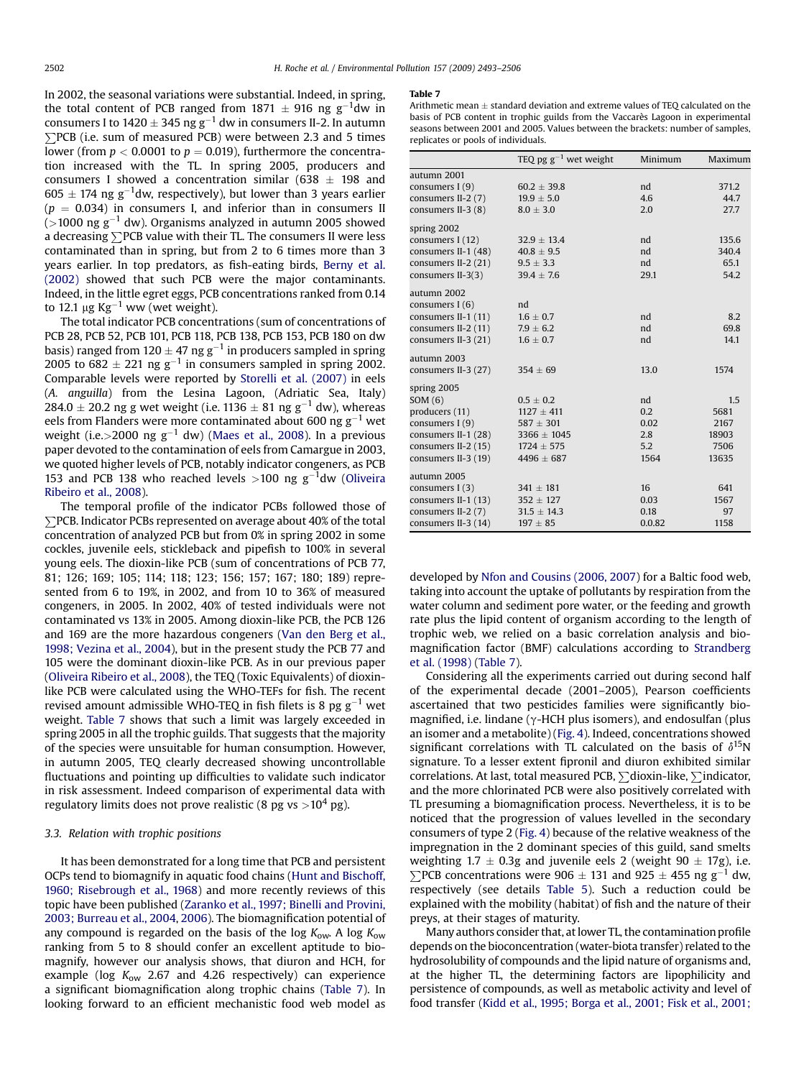In 2002, the seasonal variations were substantial. Indeed, in spring, the total content of PCB ranged from 1871  $\pm$  916 ng g $^{-1}$ dw in consumers I to  $1420 \pm 345$  ng g<sup>-1</sup> dw in consumers II-2. In autumn  $\sum$ PCB (i.e. sum of measured PCB) were between 2.3 and 5 times lower (from  $p < 0.0001$  to  $p = 0.019$ ), furthermore the concentration increased with the TL. In spring 2005, producers and consumers I showed a concentration similar (638  $\pm$  198 and  $605\pm174$  ng g $^{-1}$ dw, respectively), but lower than 3 years earlier  $(p = 0.034)$  in consumers I, and inferior than in consumers II  $\sim$  1000 ng g<sup>-1</sup> dw). Organisms analyzed in autumn 2005 showed a decreasing  $\sum$ PCB value with their TL. The consumers II were less contaminated than in spring, but from 2 to 6 times more than 3 years earlier. In top predators, as fish-eating birds, [Berny et al.](#page-11-0) [\(2002\)](#page-11-0) showed that such PCB were the major contaminants. Indeed, in the little egret eggs, PCB concentrations ranked from 0.14 to 12.1  $\mu$ g Kg<sup>-1</sup> ww (wet weight).

The total indicator PCB concentrations (sum of concentrations of PCB 28, PCB 52, PCB 101, PCB 118, PCB 138, PCB 153, PCB 180 on dw basis) ranged from  $120 \pm 47$  ng  $g^{-1}$  in producers sampled in spring 2005 to  $682 \pm 221$  ng g<sup>-1</sup> in consumers sampled in spring 2002. Comparable levels were reported by [Storelli et al. \(2007\)](#page-12-0) in eels (A. anguilla) from the Lesina Lagoon, (Adriatic Sea, Italy) 284.0  $\pm$  20.2 ng g wet weight (i.e. 1136  $\pm$  81 ng g<sup>-1</sup> dw), whereas eels from Flanders were more contaminated about 600 ng  $g^{-1}$  wet weight (i.e. > 2000 ng  $g^{-1}$  dw) ([Maes et al., 2008\)](#page-12-0). In a previous paper devoted to the contamination of eels from Camargue in 2003, we quoted higher levels of PCB, notably indicator congeners, as PCB 153 and PCB 138 who reached levels  $>$ 100 ng g<sup>-1</sup>dw ([Oliveira](#page-12-0) [Ribeiro et al., 2008](#page-12-0)).

The temporal profile of the indicator PCBs followed those of  $\Sigma$ PCB. Indicator PCBs represented on average about 40% of the total concentration of analyzed PCB but from 0% in spring 2002 in some cockles, juvenile eels, stickleback and pipefish to 100% in several young eels. The dioxin-like PCB (sum of concentrations of PCB 77, 81; 126; 169; 105; 114; 118; 123; 156; 157; 167; 180; 189) represented from 6 to 19%, in 2002, and from 10 to 36% of measured congeners, in 2005. In 2002, 40% of tested individuals were not contaminated vs 13% in 2005. Among dioxin-like PCB, the PCB 126 and 169 are the more hazardous congeners [\(Van den Berg et al.,](#page-12-0) [1998; Vezina et al., 2004\)](#page-12-0), but in the present study the PCB 77 and 105 were the dominant dioxin-like PCB. As in our previous paper ([Oliveira Ribeiro et al., 2008\)](#page-12-0), the TEQ (Toxic Equivalents) of dioxinlike PCB were calculated using the WHO-TEFs for fish. The recent revised amount admissible WHO-TEQ in fish filets is 8 pg  $g^{-1}$  wet weight. Table 7 shows that such a limit was largely exceeded in spring 2005 in all the trophic guilds. That suggests that the majority of the species were unsuitable for human consumption. However, in autumn 2005, TEQ clearly decreased showing uncontrollable fluctuations and pointing up difficulties to validate such indicator in risk assessment. Indeed comparison of experimental data with regulatory limits does not prove realistic (8 pg vs  $>10^4$  pg).

### 3.3. Relation with trophic positions

It has been demonstrated for a long time that PCB and persistent OCPs tend to biomagnify in aquatic food chains ([Hunt and Bischoff,](#page-12-0) [1960; Risebrough et al., 1968\)](#page-12-0) and more recently reviews of this topic have been published [\(Zaranko et al., 1997; Binelli and Provini,](#page-13-0) [2003; Burreau et al., 2004,](#page-13-0) [2006\)](#page-11-0). The biomagnification potential of any compound is regarded on the basis of the log  $K_{\text{ow}}$ . A log  $K_{\text{ow}}$ ranking from 5 to 8 should confer an excellent aptitude to biomagnify, however our analysis shows, that diuron and HCH, for example (log  $K_{ow}$  2.67 and 4.26 respectively) can experience a significant biomagnification along trophic chains (Table 7). In looking forward to an efficient mechanistic food web model as

#### Table 7

Arithmetic mean  $\pm$  standard deviation and extreme values of TEO calculated on the basis of PCB content in trophic guilds from the Vaccarès Lagoon in experimental seasons between 2001 and 2005. Values between the brackets: number of samples, replicates or pools of individuals.

|                       | TEQ pg $g^{-1}$ wet weight | Minimum | Maximum |
|-----------------------|----------------------------|---------|---------|
| autumn 2001           |                            |         |         |
| consumers I (9)       | $60.2 \pm 39.8$            | nd      | 371.2   |
| consumers II-2 (7)    | $19.9 \pm 5.0$             | 4.6     | 44.7    |
| consumers II-3 (8)    | $8.0 \pm 3.0$              | 2.0     | 27.7    |
| spring 2002           |                            |         |         |
| consumers I (12)      | $32.9 \pm 13.4$            | nd      | 135.6   |
| consumers II-1 (48)   | $40.8 \pm 9.5$             | nd      | 340.4   |
| consumers II-2 (21)   | $9.5 \pm 3.3$              | nd      | 65.1    |
| consumers II-3(3)     | $39.4 \pm 7.6$             | 29.1    | 54.2    |
| autumn 2002           |                            |         |         |
| consumers $I(6)$      | nd                         |         |         |
| consumers II-1 (11)   | $1.6 \pm 0.7$              | nd      | 8.2     |
| consumers II-2 $(11)$ | $7.9 \pm 6.2$              | nd      | 69.8    |
| consumers II-3 (21)   | $1.6 \pm 0.7$              | nd      | 14.1    |
| autumn 2003           |                            |         |         |
| consumers II-3 (27)   | $354 \pm 69$               | 13.0    | 1574    |
| spring 2005           |                            |         |         |
| SOM(6)                | $0.5 \pm 0.2$              | nd      | 1.5     |
| producers (11)        | $1127 \pm 411$             | 0.2     | 5681    |
| consumers I (9)       | $587 \pm 301$              | 0.02    | 2167    |
| consumers II-1 (28)   | $3366 \pm 1045$            | 2.8     | 18903   |
| consumers II-2 (15)   | $1724 \pm 575$             | 5.2     | 7506    |
| consumers II-3 (19)   | $4496 \pm 687$             | 1564    | 13635   |
| autumn 2005           |                            |         |         |
| consumers $I(3)$      | $341 \pm 181$              | 16      | 641     |
| consumers II-1 (13)   | $352 \pm 127$              | 0.03    | 1567    |
| consumers II-2 (7)    | $31.5 \pm 14.3$            | 0.18    | 97      |
| consumers II-3 (14)   | $197 \pm 85$               | 0.0.82  | 1158    |

developed by [Nfon and Cousins \(2006, 2007](#page-12-0)) for a Baltic food web, taking into account the uptake of pollutants by respiration from the water column and sediment pore water, or the feeding and growth rate plus the lipid content of organism according to the length of trophic web, we relied on a basic correlation analysis and biomagnification factor (BMF) calculations according to [Strandberg](#page-12-0) [et al. \(1998\)](#page-12-0) (Table 7).

Considering all the experiments carried out during second half of the experimental decade (2001–2005), Pearson coefficients ascertained that two pesticides families were significantly biomagnified, i.e. lindane ( $\gamma$ -HCH plus isomers), and endosulfan (plus an isomer and a metabolite) [\(Fig. 4\)](#page-10-0). Indeed, concentrations showed significant correlations with TL calculated on the basis of  $\delta^{15}N$ signature. To a lesser extent fipronil and diuron exhibited similar correlations. At last, total measured PCB,  $\sum$ dioxin-like,  $\sum$ indicator, and the more chlorinated PCB were also positively correlated with TL presuming a biomagnification process. Nevertheless, it is to be noticed that the progression of values levelled in the secondary consumers of type 2 [\(Fig. 4\)](#page-10-0) because of the relative weakness of the impregnation in the 2 dominant species of this guild, sand smelts weighting 1.7  $\pm$  0.3g and juvenile eels 2 (weight 90  $\pm$  17g), i.e.  $\sum$ PCB concentrations were 906  $\pm$  131 and 925  $\pm$  455 ng g<sup>-1</sup> dw, respectively (see details [Table 5\)](#page-7-0). Such a reduction could be explained with the mobility (habitat) of fish and the nature of their preys, at their stages of maturity.

Many authors consider that, at lower TL, the contamination profile depends on the bioconcentration (water-biota transfer) related to the hydrosolubility of compounds and the lipid nature of organisms and, at the higher TL, the determining factors are lipophilicity and persistence of compounds, as well as metabolic activity and level of food transfer ([Kidd et al., 1995; Borga et al., 2001; Fisk et al., 2001;](#page-12-0)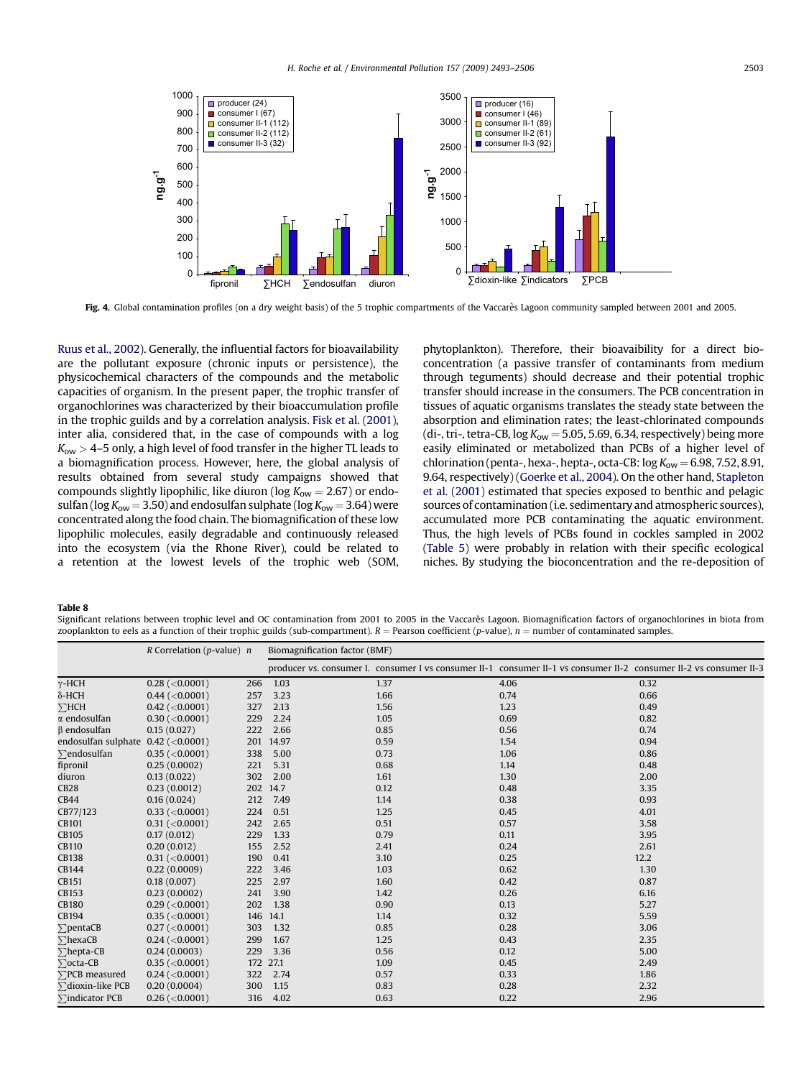<span id="page-10-0"></span>

Fig. 4. Global contamination profiles (on a dry weight basis) of the 5 trophic compartments of the Vaccarès Lagoon community sampled between 2001 and 2005.

[Ruus et al., 2002\)](#page-12-0). Generally, the influential factors for bioavailability are the pollutant exposure (chronic inputs or persistence), the physicochemical characters of the compounds and the metabolic capacities of organism. In the present paper, the trophic transfer of organochlorines was characterized by their bioaccumulation profile in the trophic guilds and by a correlation analysis. [Fisk et al. \(2001\),](#page-12-0) inter alia, considered that, in the case of compounds with a log  $K<sub>ow</sub> > 4-5$  only, a high level of food transfer in the higher TL leads to a biomagnification process. However, here, the global analysis of results obtained from several study campaigns showed that compounds slightly lipophilic, like diuron (log  $K_{ow} = 2.67$ ) or endosulfan (log  $K_{\text{ow}} = 3.50$ ) and endosulfan sulphate (log  $K_{\text{ow}} = 3.64$ ) were concentrated along the food chain. The biomagnification of these low lipophilic molecules, easily degradable and continuously released into the ecosystem (via the Rhone River), could be related to a retention at the lowest levels of the trophic web (SOM, phytoplankton). Therefore, their bioavaibility for a direct bioconcentration (a passive transfer of contaminants from medium through teguments) should decrease and their potential trophic transfer should increase in the consumers. The PCB concentration in tissues of aquatic organisms translates the steady state between the absorption and elimination rates; the least-chlorinated compounds (di-, tri-, tetra-CB,  $log K_{ow} = 5.05, 5.69, 6.34$ , respectively) being more easily eliminated or metabolized than PCBs of a higher level of chlorination (penta-, hexa-, hepta-, octa-CB:  $log K_{ow} = 6.98, 7.52, 8.91,$ 9.64, respectively) ([Goerke et al., 2004\)](#page-12-0). On the other hand, [Stapleton](#page-12-0) [et al. \(2001\)](#page-12-0) estimated that species exposed to benthic and pelagic sources of contamination (i.e. sedimentary and atmospheric sources), accumulated more PCB contaminating the aquatic environment. Thus, the high levels of PCBs found in cockles sampled in 2002 [\(Table 5](#page-7-0)) were probably in relation with their specific ecological niches. By studying the bioconcentration and the re-deposition of

#### Table 8

Significant relations between trophic level and OC contamination from 2001 to 2005 in the Vaccarès Lagoon. Biomagnification factors of organochlorines in biota from zooplankton to eels as a function of their trophic guilds (sub-compartment).  $R =$  Pearson coefficient (p-value),  $n =$  number of contaminated samples.

|                                      | <i>R</i> Correlation ( <i>p</i> -value) <i>n</i> |          | Biomagnification factor (BMF) |      |                                                                                                                    |      |
|--------------------------------------|--------------------------------------------------|----------|-------------------------------|------|--------------------------------------------------------------------------------------------------------------------|------|
|                                      |                                                  |          |                               |      | producer vs. consumer I. consumer I vs consumer II-1 consumer II-1 vs consumer II-2 consumer II-2 vs consumer II-3 |      |
| $\gamma$ -HCH                        | $0.28$ (<0.0001)                                 | 266      | 1.03                          | 1.37 | 4.06                                                                                                               | 0.32 |
| δ-HCH                                | $0.44$ (<0.0001)                                 | 257      | 3.23                          | 1.66 | 0.74                                                                                                               | 0.66 |
| $\Sigma$ HCH                         | $0.42$ (<0.0001)                                 | 327      | 2.13                          | 1.56 | 1.23                                                                                                               | 0.49 |
| $\alpha$ endosulfan                  | $0.30$ ( $<$ 0.0001)                             | 229      | 2.24                          | 1.05 | 0.69                                                                                                               | 0.82 |
| $\beta$ endosulfan                   | 0.15(0.027)                                      | 222      | 2.66                          | 0.85 | 0.56                                                                                                               | 0.74 |
| endosulfan sulphate $0.42$ (<0.0001) |                                                  | 201      | 14.97                         | 0.59 | 1.54                                                                                                               | 0.94 |
| $\sum$ endosulfan                    | $0.35$ ( $<$ 0.0001)                             | 338      | 5.00                          | 0.73 | 1.06                                                                                                               | 0.86 |
| fipronil                             | 0.25(0.0002)                                     | 221      | 5.31                          | 0.68 | 1.14                                                                                                               | 0.48 |
| diuron                               | 0.13(0.022)                                      | 302      | 2.00                          | 1.61 | 1.30                                                                                                               | 2.00 |
| <b>CB28</b>                          | 0.23(0.0012)                                     | 202      | 14.7                          | 0.12 | 0.48                                                                                                               | 3.35 |
| CB44                                 | 0.16(0.024)                                      | 212      | 7.49                          | 1.14 | 0.38                                                                                                               | 0.93 |
| CB77/123                             | $0.33$ (< $0.0001$ )                             | 224      | 0.51                          | 1.25 | 0.45                                                                                                               | 4.01 |
| <b>CB101</b>                         | $0.31$ (<0.0001)                                 | 242      | 2.65                          | 0.51 | 0.57                                                                                                               | 3.58 |
| <b>CB105</b>                         | 0.17(0.012)                                      | 229      | 1.33                          | 0.79 | 0.11                                                                                                               | 3.95 |
| <b>CB110</b>                         | 0.20(0.012)                                      | 155      | 2.52                          | 2.41 | 0.24                                                                                                               | 2.61 |
| <b>CB138</b>                         | $0.31$ (<0.0001)                                 | 190      | 0.41                          | 3.10 | 0.25                                                                                                               | 12.2 |
| CB144                                | 0.22(0.0009)                                     | 222      | 3.46                          | 1.03 | 0.62                                                                                                               | 1.30 |
| CB151                                | 0.18(0.007)                                      | 225      | 2.97                          | 1.60 | 0.42                                                                                                               | 0.87 |
| CB153                                | 0.23(0.0002)                                     | 241      | 3.90                          | 1.42 | 0.26                                                                                                               | 6.16 |
| <b>CB180</b>                         | $0.29$ (<0.0001)                                 | 202      | 1.38                          | 0.90 | 0.13                                                                                                               | 5.27 |
| CB194                                | $0.35$ ( $< 0.0001$ )                            | 146      | 14.1                          | 1.14 | 0.32                                                                                                               | 5.59 |
| $\sum$ pentaCB                       | $0.27$ (<0.0001)                                 | 303      | 1.32                          | 0.85 | 0.28                                                                                                               | 3.06 |
| $\sum$ hexaCB                        | $0.24$ (<0.0001)                                 | 299      | 1.67                          | 1.25 | 0.43                                                                                                               | 2.35 |
| $\sum$ hepta-CB                      | 0.24(0.0003)                                     | 229      | 3.36                          | 0.56 | 0.12                                                                                                               | 5.00 |
| $\sum$ octa-CB                       | $0.35$ ( $<$ 0.0001)                             | 172 27.1 |                               | 1.09 | 0.45                                                                                                               | 2.49 |
| $\sum$ PCB measured                  | $0.24$ (<0.0001)                                 | 322      | 2.74                          | 0.57 | 0.33                                                                                                               | 1.86 |
| ▽ dioxin-like PCB                    | 0.20(0.0004)                                     | 300      | 1.15                          | 0.83 | 0.28                                                                                                               | 2.32 |
| $\sum$ indicator PCB                 | $0.26$ (< $0.0001$ )                             | 316      | 4.02                          | 0.63 | 0.22                                                                                                               | 2.96 |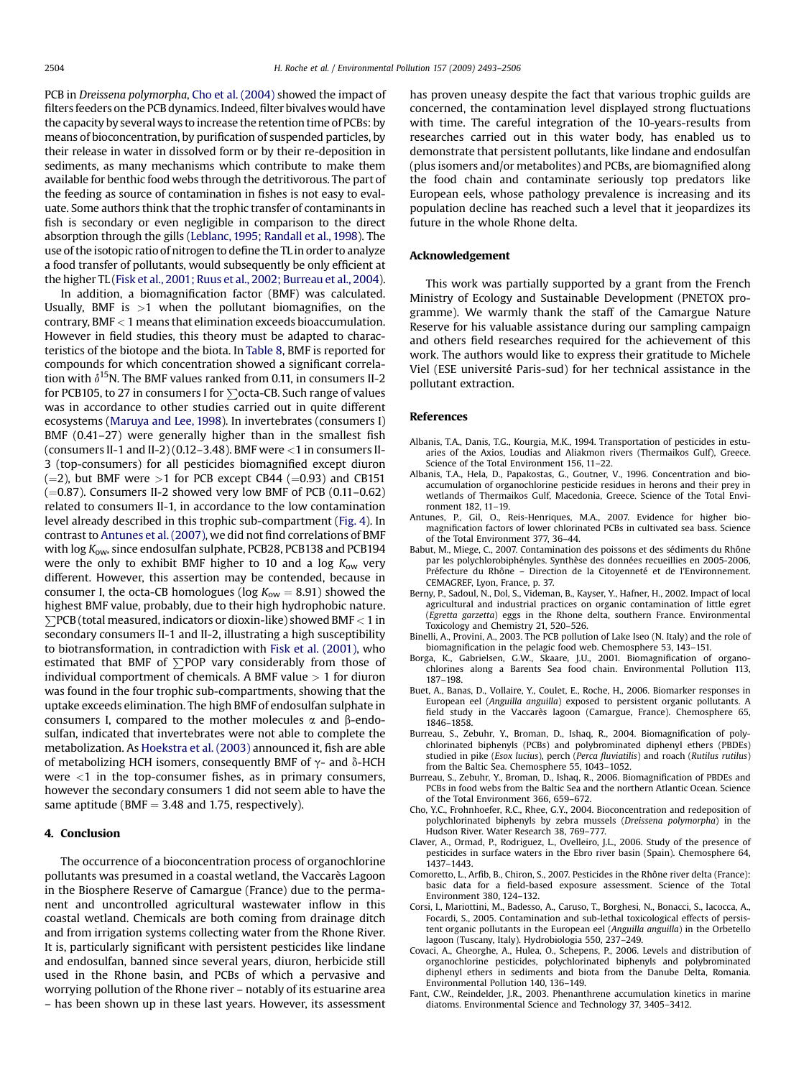<span id="page-11-0"></span>PCB in Dreissena polymorpha, Cho et al. (2004) showed the impact of filters feeders on the PCB dynamics. Indeed, filter bivalves would have the capacity by several ways to increase the retention time of PCBs: by means of bioconcentration, by purification of suspended particles, by their release in water in dissolved form or by their re-deposition in sediments, as many mechanisms which contribute to make them available for benthic food webs through the detritivorous. The part of the feeding as source of contamination in fishes is not easy to evaluate. Some authors think that the trophic transfer of contaminants in fish is secondary or even negligible in comparison to the direct absorption through the gills [\(Leblanc, 1995; Randall et al., 1998](#page-12-0)). The use of the isotopic ratio of nitrogen to define the TL in order to analyze a food transfer of pollutants, would subsequently be only efficient at the higher TL [\(Fisk et al., 2001; Ruus et al., 2002; Burreau et al., 2004](#page-12-0)).

In addition, a biomagnification factor (BMF) was calculated. Usually, BMF is  $>1$  when the pollutant biomagnifies, on the contrary, BMF < 1 means that elimination exceeds bioaccumulation. However in field studies, this theory must be adapted to characteristics of the biotope and the biota. In [Table 8,](#page-10-0) BMF is reported for compounds for which concentration showed a significant correlation with  $\delta^{15}$ N. The BMF values ranked from 0.11, in consumers II-2 for PCB105, to 27 in consumers I for  $\sum$  octa-CB. Such range of values was in accordance to other studies carried out in quite different ecosystems [\(Maruya and Lee, 1998](#page-12-0)). In invertebrates (consumers I) BMF (0.41-27) were generally higher than in the smallest fish (consumers II-1 and II-2) (0.12-3.48). BMF were  $<$ 1 in consumers II-3 (top-consumers) for all pesticides biomagnified except diuron  $(=2)$ , but BMF were >1 for PCB except CB44 ( $=0.93$ ) and CB151  $(=0.87)$ . Consumers II-2 showed very low BMF of PCB  $(0.11-0.62)$ related to consumers II-1, in accordance to the low contamination level already described in this trophic sub-compartment ([Fig. 4](#page-10-0)). In contrast to Antunes et al. (2007), we did not find correlations of BMF with  $log K<sub>ow</sub>$ , since endosulfan sulphate, PCB28, PCB138 and PCB194 were the only to exhibit BMF higher to 10 and a log  $K_{ow}$  very different. However, this assertion may be contended, because in consumer I, the octa-CB homologues (log  $K_{ow} = 8.91$ ) showed the highest BMF value, probably, due to their high hydrophobic nature.  $\sum$ PCB (total measured, indicators or dioxin-like) showed BMF < 1 in secondary consumers II-1 and II-2, illustrating a high susceptibility to biotransformation, in contradiction with [Fisk et al. \(2001\),](#page-12-0) who estimated that BMF of  $\Sigma$ POP vary considerably from those of individual comportment of chemicals. A BMF value  $> 1$  for diuron was found in the four trophic sub-compartments, showing that the uptake exceeds elimination. The high BMF of endosulfan sulphate in consumers I, compared to the mother molecules  $\alpha$  and  $\beta$ -endosulfan, indicated that invertebrates were not able to complete the metabolization. As [Hoekstra et al. \(2003\)](#page-12-0) announced it, fish are able of metabolizing HCH isomers, consequently BMF of  $\gamma$ - and  $\delta$ -HCH were  $<$ 1 in the top-consumer fishes, as in primary consumers, however the secondary consumers 1 did not seem able to have the same aptitude (BMF  $=$  3.48 and 1.75, respectively).

#### 4. Conclusion

The occurrence of a bioconcentration process of organochlorine pollutants was presumed in a coastal wetland, the Vaccarès Lagoon in the Biosphere Reserve of Camargue (France) due to the permanent and uncontrolled agricultural wastewater inflow in this coastal wetland. Chemicals are both coming from drainage ditch and from irrigation systems collecting water from the Rhone River. It is, particularly significant with persistent pesticides like lindane and endosulfan, banned since several years, diuron, herbicide still used in the Rhone basin, and PCBs of which a pervasive and worrying pollution of the Rhone river – notably of its estuarine area – has been shown up in these last years. However, its assessment has proven uneasy despite the fact that various trophic guilds are concerned, the contamination level displayed strong fluctuations with time. The careful integration of the 10-years-results from researches carried out in this water body, has enabled us to demonstrate that persistent pollutants, like lindane and endosulfan (plus isomers and/or metabolites) and PCBs, are biomagnified along the food chain and contaminate seriously top predators like European eels, whose pathology prevalence is increasing and its population decline has reached such a level that it jeopardizes its future in the whole Rhone delta.

#### Acknowledgement

This work was partially supported by a grant from the French Ministry of Ecology and Sustainable Development (PNETOX programme). We warmly thank the staff of the Camargue Nature Reserve for his valuable assistance during our sampling campaign and others field researches required for the achievement of this work. The authors would like to express their gratitude to Michele Viel (ESE université Paris-sud) for her technical assistance in the pollutant extraction.

#### References

- Albanis, T.A., Danis, T.G., Kourgia, M.K., 1994. Transportation of pesticides in estuaries of the Axios, Loudias and Aliakmon rivers (Thermaikos Gulf), Greece. Science of the Total Environment 156, 11–22.
- Albanis, T.A., Hela, D., Papakostas, G., Goutner, V., 1996. Concentration and bioaccumulation of organochlorine pesticide residues in herons and their prey in wetlands of Thermaikos Gulf, Macedonia, Greece. Science of the Total Environment 182, 11–19.
- Antunes, P., Gil, O., Reis-Henriques, M.A., 2007. Evidence for higher biomagnification factors of lower chlorinated PCBs in cultivated sea bass. Science of the Total Environment 377, 36–44.
- Babut, M., Miege, C., 2007. Contamination des poissons et des sédiments du Rhône par les polychlorobiphényles. Synthèse des données recueillies en 2005-2006, Préfecture du Rhône – Direction de la Citoyenneté et de l'Environnement. CEMAGREF, Lyon, France, p. 37.
- Berny, P., Sadoul, N., Dol, S., Videman, B., Kayser, Y., Hafner, H., 2002. Impact of local agricultural and industrial practices on organic contamination of little egret (Egretta garzetta) eggs in the Rhone delta, southern France. Environmental Toxicology and Chemistry 21, 520–526.
- Binelli, A., Provini, A., 2003. The PCB pollution of Lake Iseo (N. Italy) and the role of biomagnification in the pelagic food web. Chemosphere 53, 143–151.
- Borga, K., Gabrielsen, G.W., Skaare, J.U., 2001. Biomagnification of organochlorines along a Barents Sea food chain. Environmental Pollution 113, 187–198.
- Buet, A., Banas, D., Vollaire, Y., Coulet, E., Roche, H., 2006. Biomarker responses in European eel (Anguilla anguilla) exposed to persistent organic pollutants. A field study in the Vaccarès lagoon (Camargue, France). Chemosphere 65, 1846–1858.
- Burreau, S., Zebuhr, Y., Broman, D., Ishaq, R., 2004. Biomagnification of polychlorinated biphenyls (PCBs) and polybrominated diphenyl ethers (PBDEs) studied in pike (Esox lucius), perch (Perca fluviatilis) and roach (Rutilus rutilus) from the Baltic Sea. Chemosphere 55, 1043–1052.
- Burreau, S., Zebuhr, Y., Broman, D., Ishaq, R., 2006. Biomagnification of PBDEs and PCBs in food webs from the Baltic Sea and the northern Atlantic Ocean. Science of the Total Environment 366, 659–672.
- Cho, Y.C., Frohnhoefer, R.C., Rhee, G.Y., 2004. Bioconcentration and redeposition of polychlorinated biphenyls by zebra mussels (Dreissena polymorpha) in the Hudson River. Water Research 38, 769–777.
- Claver, A., Ormad, P., Rodriguez, L., Ovelleiro, J.L., 2006. Study of the presence of pesticides in surface waters in the Ebro river basin (Spain). Chemosphere 64, 1437–1443.
- Comoretto, L., Arfib, B., Chiron, S., 2007. Pesticides in the Rhône river delta (France): basic data for a field-based exposure assessment. Science of the Total Environment 380, 124–132.
- Corsi, I., Mariottini, M., Badesso, A., Caruso, T., Borghesi, N., Bonacci, S., Iacocca, A., Focardi, S., 2005. Contamination and sub-lethal toxicological effects of persistent organic pollutants in the European eel (Anguilla anguilla) in the Orbetello lagoon (Tuscany, Italy). Hydrobiologia 550, 237–249.
- Covaci, A., Gheorghe, A., Hulea, O., Schepens, P., 2006. Levels and distribution of organochlorine pesticides, polychlorinated biphenyls and polybrominated diphenyl ethers in sediments and biota from the Danube Delta, Romania. Environmental Pollution 140, 136–149.
- Fant, C.W., Reindelder, J.R., 2003. Phenanthrene accumulation kinetics in marine diatoms. Environmental Science and Technology 37, 3405–3412.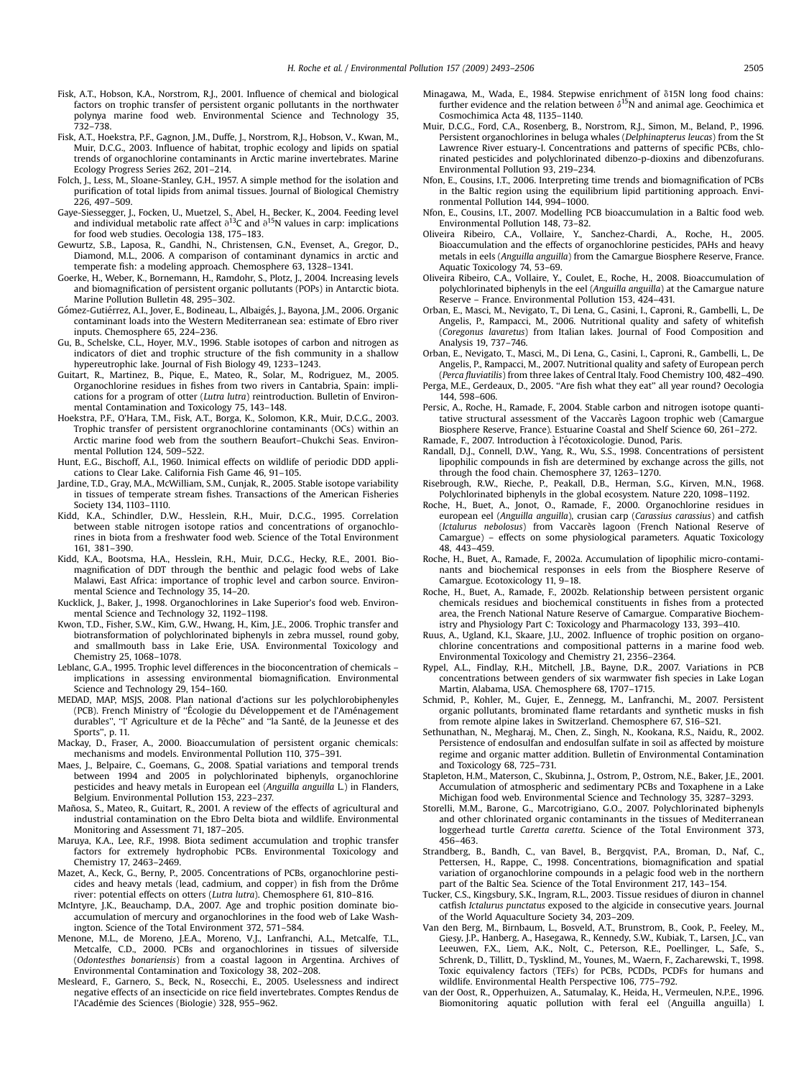- <span id="page-12-0"></span>Fisk, A.T., Hobson, K.A., Norstrom, R.J., 2001. Influence of chemical and biological factors on trophic transfer of persistent organic pollutants in the northwater polynya marine food web. Environmental Science and Technology 35, 732–738.
- Fisk, A.T., Hoekstra, P.F., Gagnon, J.M., Duffe, J., Norstrom, R.J., Hobson, V., Kwan, M., Muir, D.C.G., 2003. Influence of habitat, trophic ecology and lipids on spatial trends of organochlorine contaminants in Arctic marine invertebrates. Marine Ecology Progress Series 262, 201–214.
- Folch, J., Less, M., Sloane-Stanley, G.H., 1957. A simple method for the isolation and purification of total lipids from animal tissues. Journal of Biological Chemistry 226, 497–509.
- Gaye-Siessegger, J., Focken, U., Muetzel, S., Abel, H., Becker, K., 2004. Feeding level and individual metabolic rate affect  $\partial^{13}C$  and  $\partial^{15}N$  values in carp: implications for food web studies. Oecologia 138, 175–183.
- Gewurtz, S.B., Laposa, R., Gandhi, N., Christensen, G.N., Evenset, A., Gregor, D., Diamond, M.L., 2006. A comparison of contaminant dynamics in arctic and temperate fish: a modeling approach. Chemosphere 63, 1328–1341.
- Goerke, H., Weber, K., Bornemann, H., Ramdohr, S., Plotz, J., 2004. Increasing levels and biomagnification of persistent organic pollutants (POPs) in Antarctic biota. Marine Pollution Bulletin 48, 295–302.
- Gómez-Gutiérrez, A.I., Jover, E., Bodineau, L., Albaigés, J., Bayona, J.M., 2006. Organic contaminant loads into the Western Mediterranean sea: estimate of Ebro river inputs. Chemosphere 65, 224–236.
- Gu, B., Schelske, C.L., Hoyer, M.V., 1996. Stable isotopes of carbon and nitrogen as indicators of diet and trophic structure of the fish community in a shallow hypereutrophic lake. Journal of Fish Biology 49, 1233–1243.
- Guitart, R., Martinez, B., Pique, E., Mateo, R., Solar, M., Rodriguez, M., 2005. Organochlorine residues in fishes from two rivers in Cantabria, Spain: implications for a program of otter (Lutra lutra) reintroduction. Bulletin of Environmental Contamination and Toxicology 75, 143–148.
- Hoekstra, P.F., O'Hara, T.M., Fisk, A.T., Borga, K., Solomon, K.R., Muir, D.C.G., 2003. Trophic transfer of persistent orgranochlorine contaminants (OCs) within an Arctic marine food web from the southern Beaufort–Chukchi Seas. Environmental Pollution 124, 509–522.
- Hunt, E.G., Bischoff, A.I., 1960. Inimical effects on wildlife of periodic DDD applications to Clear Lake. California Fish Game 46, 91–105.
- Jardine, T.D., Gray, M.A., McWilliam, S.M., Cunjak, R., 2005. Stable isotope variability in tissues of temperate stream fishes. Transactions of the American Fisheries Society 134, 1103–1110.
- Kidd, K.A., Schindler, D.W., Hesslein, R.H., Muir, D.C.G., 1995. Correlation between stable nitrogen isotope ratios and concentrations of organochlorines in biota from a freshwater food web. Science of the Total Environment 161, 381–390.
- Kidd, K.A., Bootsma, H.A., Hesslein, R.H., Muir, D.C.G., Hecky, R.E., 2001. Biomagnification of DDT through the benthic and pelagic food webs of Lake Malawi, East Africa: importance of trophic level and carbon source. Environmental Science and Technology 35, 14–20.
- Kucklick, J., Baker, J., 1998. Organochlorines in Lake Superior's food web. Environmental Science and Technology 32, 1192–1198.
- Kwon, T.D., Fisher, S.W., Kim, G.W., Hwang, H., Kim, J.E., 2006. Trophic transfer and biotransformation of polychlorinated biphenyls in zebra mussel, round goby, and smallmouth bass in Lake Erie, USA. Environmental Toxicology and Chemistry 25, 1068–1078.
- Leblanc, G.A., 1995. Trophic level differences in the bioconcentration of chemicals implications in assessing environmental biomagnification. Environmental Science and Technology 29, 154–160.
- MEDAD, MAP, MSJS, 2008. Plan national d'actions sur les polychlorobiphenyles (PCB). French Ministry of "Écologie du Développement et de l'Aménagement durables", "l' Agriculture et de la Pêche" and "la Santé, de la Jeunesse et des Sports'', p. 11.
- Mackay, D., Fraser, A., 2000. Bioaccumulation of persistent organic chemicals: mechanisms and models. Environmental Pollution 110, 375–391.
- Maes, J., Belpaire, C., Goemans, G., 2008. Spatial variations and temporal trends between 1994 and 2005 in polychlorinated biphenyls, organochlorine pesticides and heavy metals in European eel (Anguilla anguilla L.) in Flanders, Belgium. Environmental Pollution 153, 223–237.
- Mañosa, S., Mateo, R., Guitart, R., 2001. A review of the effects of agricultural and industrial contamination on the Ebro Delta biota and wildlife. Environmental Monitoring and Assessment 71, 187–205.
- Maruya, K.A., Lee, R.F., 1998. Biota sediment accumulation and trophic transfer factors for extremely hydrophobic PCBs. Environmental Toxicology and Chemistry 17, 2463–2469.
- Mazet, A., Keck, G., Berny, P., 2005. Concentrations of PCBs, organochlorine pesticides and heavy metals (lead, cadmium, and copper) in fish from the Drôme river: potential effects on otters (Lutra lutra). Chemosphere 61, 810–816.
- McIntyre, J.K., Beauchamp, D.A., 2007. Age and trophic position dominate bioaccumulation of mercury and organochlorines in the food web of Lake Washington. Science of the Total Environment 372, 571–584.
- Menone, M.L., de Moreno, J.E.A., Moreno, V.J., Lanfranchi, A.L., Metcalfe, T.L., Metcalfe, C.D., 2000. PCBs and organochlorines in tissues of silverside (Odontesthes bonariensis) from a coastal lagoon in Argentina. Archives of Environmental Contamination and Toxicology 38, 202–208. Mesleard, F., Garnero, S., Beck, N., Rosecchi, E., 2005. Uselessness and indirect
- negative effects of an insecticide on rice field invertebrates. Comptes Rendus de l'Académie des Sciences (Biologie) 328, 955–962.
- Minagawa, M., Wada, E., 1984. Stepwise enrichment of  $\delta$ 15N long food chains: further evidence and the relation between  $\delta^{15}$ N and animal age. Geochimica et Cosmochimica Acta 48, 1135–1140.
- Muir, D.C.G., Ford, C.A., Rosenberg, B., Norstrom, R.J., Simon, M., Beland, P., 1996. Persistent organochlorines in beluga whales (Delphinapterus leucas) from the St Lawrence River estuary-I. Concentrations and patterns of specific PCBs, chlorinated pesticides and polychlorinated dibenzo-p-dioxins and dibenzofurans. Environmental Pollution 93, 219–234.
- Nfon, E., Cousins, I.T., 2006. Interpreting time trends and biomagnification of PCBs in the Baltic region using the equilibrium lipid partitioning approach. Environmental Pollution 144, 994–1000.
- Nfon, E., Cousins, I.T., 2007. Modelling PCB bioaccumulation in a Baltic food web. Environmental Pollution 148, 73–82.
- Oliveira Ribeiro, C.A., Vollaire, Y., Sanchez-Chardi, A., Roche, H., 2005. Bioaccumulation and the effects of organochlorine pesticides, PAHs and heavy metals in eels (Anguilla anguilla) from the Camargue Biosphere Reserve, France. Aquatic Toxicology 74, 53–69.
- Oliveira Ribeiro, C.A., Vollaire, Y., Coulet, E., Roche, H., 2008. Bioaccumulation of polychlorinated biphenyls in the eel (Anguilla anguilla) at the Camargue nature Reserve – France. Environmental Pollution 153, 424–431.
- Orban, E., Masci, M., Nevigato, T., Di Lena, G., Casini, I., Caproni, R., Gambelli, L., De Angelis, P., Rampacci, M., 2006. Nutritional quality and safety of whitefish (Coregonus lavaretus) from Italian lakes. Journal of Food Composition and Analysis 19, 737–746.
- Orban, E., Nevigato, T., Masci, M., Di Lena, G., Casini, I., Caproni, R., Gambelli, L., De Angelis, P., Rampacci, M., 2007. Nutritional quality and safety of European perch (Perca fluviatilis) from three lakes of Central Italy. Food Chemistry 100, 482–490.
- Perga, M.E., Gerdeaux, D., 2005. ''Are fish what they eat'' all year round? Oecologia 144, 598–606.
- Persic, A., Roche, H., Ramade, F., 2004. Stable carbon and nitrogen isotope quantitative structural assessment of the Vaccarès Lagoon trophic web (Camargue Biosphere Reserve, France). Estuarine Coastal and Shelf Science 60, 261–272. Ramade, F., 2007. Introduction à l'écotoxicologie. Dunod, Paris.
- Randall, D.J., Connell, D.W., Yang, R., Wu, S.S., 1998. Concentrations of persistent
- lipophilic compounds in fish are determined by exchange across the gills, not through the food chain. Chemosphere 37, 1263–1270.
- Risebrough, R.W., Rieche, P., Peakall, D.B., Herman, S.G., Kirven, M.N., 1968. Polychlorinated biphenyls in the global ecosystem. Nature 220, 1098–1192.
- Roche, H., Buet, A., Jonot, O., Ramade, F., 2000. Organochlorine residues in european eel (Anguilla anguilla), crusian carp (Carassius carassius) and catfish (Ictalurus nebolosus) from Vaccarès lagoon (French National Reserve of Camargue) – effects on some physiological parameters. Aquatic Toxicology 48, 443–459.
- Roche, H., Buet, A., Ramade, F., 2002a. Accumulation of lipophilic micro-contaminants and biochemical responses in eels from the Biosphere Reserve of Camargue. Ecotoxicology 11, 9–18.
- Roche, H., Buet, A., Ramade, F., 2002b. Relationship between persistent organic chemicals residues and biochemical constituents in fishes from a protected area, the French National Nature Reserve of Camargue. Comparative Biochemistry and Physiology Part C: Toxicology and Pharmacology 133, 393–410.
- Ruus, A., Ugland, K.I., Skaare, J.U., 2002. Influence of trophic position on organochlorine concentrations and compositional patterns in a marine food web. Environmental Toxicology and Chemistry 21, 2356–2364.
- Rypel, A.L., Findlay, R.H., Mitchell, J.B., Bayne, D.R., 2007. Variations in PCB concentrations between genders of six warmwater fish species in Lake Logan Martin, Alabama, USA. Chemosphere 68, 1707–1715.
- Schmid, P., Kohler, M., Gujer, E., Zennegg, M., Lanfranchi, M., 2007. Persistent organic pollutants, brominated flame retardants and synthetic musks in fish from remote alpine lakes in Switzerland. Chemosphere 67, S16–S21.
- Sethunathan, N., Megharaj, M., Chen, Z., Singh, N., Kookana, R.S., Naidu, R., 2002. Persistence of endosulfan and endosulfan sulfate in soil as affected by moisture regime and organic matter addition. Bulletin of Environmental Contamination and Toxicology 68, 725–731.
- Stapleton, H.M., Materson, C., Skubinna, J., Ostrom, P., Ostrom, N.E., Baker, J.E., 2001. Accumulation of atmospheric and sedimentary PCBs and Toxaphene in a Lake Michigan food web. Environmental Science and Technology 35, 3287–3293.
- Storelli, M.M., Barone, G., Marcotrigiano, G.O., 2007. Polychlorinated biphenyls and other chlorinated organic contaminants in the tissues of Mediterranean loggerhead turtle Caretta caretta. Science of the Total Environment 373, 456–463.
- Strandberg, B., Bandh, C., van Bavel, B., Bergqvist, P.A., Broman, D., Naf, C., Pettersen, H., Rappe, C., 1998. Concentrations, biomagnification and spatial variation of organochlorine compounds in a pelagic food web in the northern part of the Baltic Sea. Science of the Total Environment 217, 143–154.
- Tucker, C.S., Kingsbury, S.K., Ingram, R.L., 2003. Tissue residues of diuron in channel catfish Ictalurus punctatus exposed to the algicide in consecutive years. Journal of the World Aquaculture Society 34, 203–209.
- Van den Berg, M., Birnbaum, L., Bosveld, A.T., Brunstrom, B., Cook, P., Feeley, M., Giesy, J.P., Hanberg, A., Hasegawa, R., Kennedy, S.W., Kubiak, T., Larsen, J.C., van Leeuwen, F.X., Liem, A.K., Nolt, C., Peterson, R.E., Poellinger, L., Safe, S., Schrenk, D., Tillitt, D., Tysklind, M., Younes, M., Waern, F., Zacharewski, T., 1998. Toxic equivalency factors (TEFs) for PCBs, PCDDs, PCDFs for humans and wildlife. Environmental Health Perspective 106, 775–792.
- van der Oost, R., Opperhuizen, A., Satumalay, K., Heida, H., Vermeulen, N.P.E., 1996. Biomonitoring aquatic pollution with feral eel (Anguilla anguilla) I.